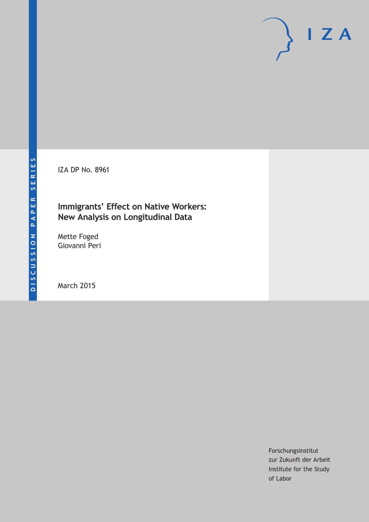IZA DP No. 8961

## **Immigrants' Effect on Native Workers: New Analysis on Longitudinal Data**

Mette Foged Giovanni Peri

March 2015

Forschungsinstitut zur Zukunft der Arbeit Institute for the Study of Labor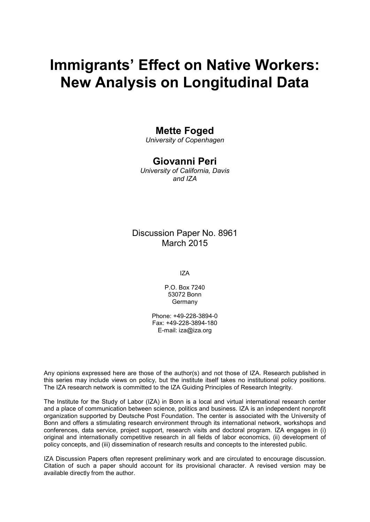# **Immigrants' Effect on Native Workers: New Analysis on Longitudinal Data**

## **Mette Foged**

*University of Copenhagen*

## **Giovanni Peri**

*University of California, Davis and IZA*

## Discussion Paper No. 8961 March 2015

IZA

P.O. Box 7240 53072 Bonn **Germany** 

Phone: +49-228-3894-0 Fax: +49-228-3894-180 E-mail: iza@iza.org

Any opinions expressed here are those of the author(s) and not those of IZA. Research published in this series may include views on policy, but the institute itself takes no institutional policy positions. The IZA research network is committed to the IZA Guiding Principles of Research Integrity.

The Institute for the Study of Labor (IZA) in Bonn is a local and virtual international research center and a place of communication between science, politics and business. IZA is an independent nonprofit organization supported by Deutsche Post Foundation. The center is associated with the University of Bonn and offers a stimulating research environment through its international network, workshops and conferences, data service, project support, research visits and doctoral program. IZA engages in (i) original and internationally competitive research in all fields of labor economics, (ii) development of policy concepts, and (iii) dissemination of research results and concepts to the interested public.

<span id="page-1-0"></span>IZA Discussion Papers often represent preliminary work and are circulated to encourage discussion. Citation of such a paper should account for its provisional character. A revised version may be available directly from the author.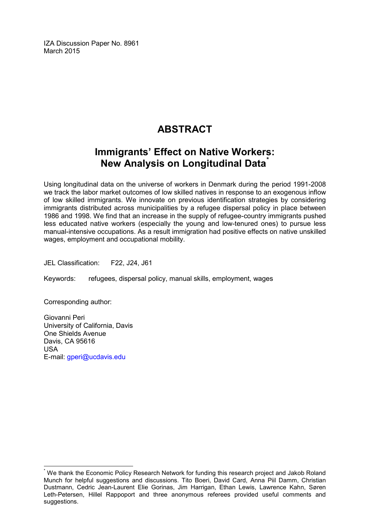IZA Discussion Paper No. 8961 March 2015

## **ABSTRACT**

## **Immigrants' Effect on Native Workers: New Analysis on Longitudinal Data[\\*](#page-1-0)**

Using longitudinal data on the universe of workers in Denmark during the period 1991-2008 we track the labor market outcomes of low skilled natives in response to an exogenous inflow of low skilled immigrants. We innovate on previous identification strategies by considering immigrants distributed across municipalities by a refugee dispersal policy in place between 1986 and 1998. We find that an increase in the supply of refugee-country immigrants pushed less educated native workers (especially the young and low-tenured ones) to pursue less manual-intensive occupations. As a result immigration had positive effects on native unskilled wages, employment and occupational mobility.

JEL Classification: F22, J24, J61

Keywords: refugees, dispersal policy, manual skills, employment, wages

Corresponding author:

Giovanni Peri University of California, Davis One Shields Avenue Davis, CA 95616 USA E-mail: [gperi@ucdavis.edu](mailto:gperi@ucdavis.edu)

We thank the Economic Policy Research Network for funding this research project and Jakob Roland Munch for helpful suggestions and discussions. Tito Boeri, David Card, Anna Piil Damm, Christian Dustmann, Cedric Jean-Laurent Elie Gorinas, Jim Harrigan, Ethan Lewis, Lawrence Kahn, Søren Leth-Petersen, Hillel Rappoport and three anonymous referees provided useful comments and suggestions.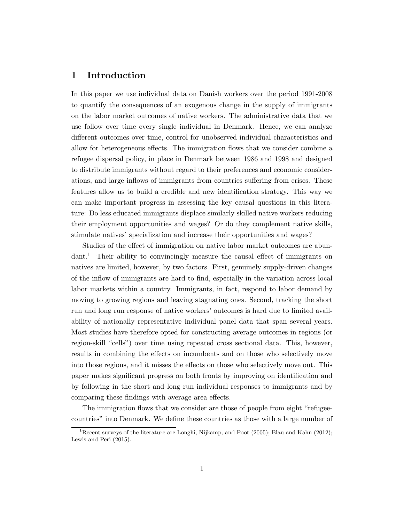### 1 Introduction

In this paper we use individual data on Danish workers over the period 1991-2008 to quantify the consequences of an exogenous change in the supply of immigrants on the labor market outcomes of native workers. The administrative data that we use follow over time every single individual in Denmark. Hence, we can analyze different outcomes over time, control for unobserved individual characteristics and allow for heterogeneous effects. The immigration flows that we consider combine a refugee dispersal policy, in place in Denmark between 1986 and 1998 and designed to distribute immigrants without regard to their preferences and economic considerations, and large inflows of immigrants from countries suffering from crises. These features allow us to build a credible and new identification strategy. This way we can make important progress in assessing the key causal questions in this literature: Do less educated immigrants displace similarly skilled native workers reducing their employment opportunities and wages? Or do they complement native skills, stimulate natives' specialization and increase their opportunities and wages?

Studies of the effect of immigration on native labor market outcomes are abundant.<sup>1</sup> Their ability to convincingly measure the causal effect of immigrants on natives are limited, however, by two factors. First, genuinely supply-driven changes of the inflow of immigrants are hard to find, especially in the variation across local labor markets within a country. Immigrants, in fact, respond to labor demand by moving to growing regions and leaving stagnating ones. Second, tracking the short run and long run response of native workers' outcomes is hard due to limited availability of nationally representative individual panel data that span several years. Most studies have therefore opted for constructing average outcomes in regions (or region-skill "cells") over time using repeated cross sectional data. This, however, results in combining the effects on incumbents and on those who selectively move into those regions, and it misses the effects on those who selectively move out. This paper makes significant progress on both fronts by improving on identification and by following in the short and long run individual responses to immigrants and by comparing these findings with average area effects.

The immigration flows that we consider are those of people from eight "refugeecountries" into Denmark. We define these countries as those with a large number of

<sup>&</sup>lt;sup>1</sup>Recent surveys of the literature are Longhi, Nijkamp, and Poot (2005); Blau and Kahn (2012); Lewis and Peri (2015).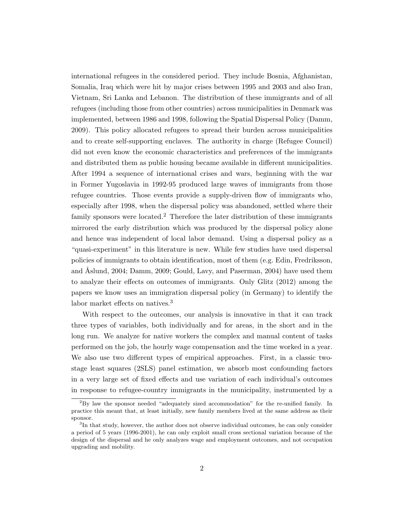international refugees in the considered period. They include Bosnia, Afghanistan, Somalia, Iraq which were hit by major crises between 1995 and 2003 and also Iran, Vietnam, Sri Lanka and Lebanon. The distribution of these immigrants and of all refugees (including those from other countries) across municipalities in Denmark was implemented, between 1986 and 1998, following the Spatial Dispersal Policy (Damm, 2009). This policy allocated refugees to spread their burden across municipalities and to create self-supporting enclaves. The authority in charge (Refugee Council) did not even know the economic characteristics and preferences of the immigrants and distributed them as public housing became available in different municipalities. After 1994 a sequence of international crises and wars, beginning with the war in Former Yugoslavia in 1992-95 produced large waves of immigrants from those refugee countries. Those events provide a supply-driven flow of immigrants who, especially after 1998, when the dispersal policy was abandoned, settled where their family sponsors were located.<sup>2</sup> Therefore the later distribution of these immigrants mirrored the early distribution which was produced by the dispersal policy alone and hence was independent of local labor demand. Using a dispersal policy as a "quasi-experiment" in this literature is new. While few studies have used dispersal policies of immigrants to obtain identification, most of them (e.g. Edin, Fredriksson, and Åslund, 2004; Damm, 2009; Gould, Lavy, and Paserman, 2004) have used them to analyze their effects on outcomes of immigrants. Only Glitz (2012) among the papers we know uses an immigration dispersal policy (in Germany) to identify the labor market effects on natives.<sup>3</sup>

With respect to the outcomes, our analysis is innovative in that it can track three types of variables, both individually and for areas, in the short and in the long run. We analyze for native workers the complex and manual content of tasks performed on the job, the hourly wage compensation and the time worked in a year. We also use two different types of empirical approaches. First, in a classic twostage least squares (2SLS) panel estimation, we absorb most confounding factors in a very large set of fixed effects and use variation of each individual's outcomes in response to refugee-country immigrants in the municipality, instrumented by a

<sup>2</sup>By law the sponsor needed "adequately sized accommodation" for the re-unified family. In practice this meant that, at least initially, new family members lived at the same address as their sponsor.

<sup>&</sup>lt;sup>3</sup>In that study, however, the author does not observe individual outcomes, he can only consider a period of 5 years (1996-2001), he can only exploit small cross sectional variation because of the design of the dispersal and he only analyzes wage and employment outcomes, and not occupation upgrading and mobility.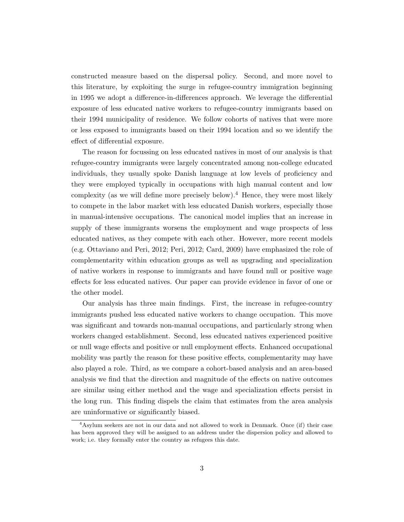constructed measure based on the dispersal policy. Second, and more novel to this literature, by exploiting the surge in refugee-country immigration beginning in 1995 we adopt a difference-in-differences approach. We leverage the differential exposure of less educated native workers to refugee-country immigrants based on their 1994 municipality of residence. We follow cohorts of natives that were more or less exposed to immigrants based on their 1994 location and so we identify the effect of differential exposure.

The reason for focussing on less educated natives in most of our analysis is that refugee-country immigrants were largely concentrated among non-college educated individuals, they usually spoke Danish language at low levels of proficiency and they were employed typically in occupations with high manual content and low complexity (as we will define more precisely below).<sup>4</sup> Hence, they were most likely to compete in the labor market with less educated Danish workers, especially those in manual-intensive occupations. The canonical model implies that an increase in supply of these immigrants worsens the employment and wage prospects of less educated natives, as they compete with each other. However, more recent models (e.g. Ottaviano and Peri, 2012; Peri, 2012; Card, 2009) have emphasized the role of complementarity within education groups as well as upgrading and specialization of native workers in response to immigrants and have found null or positive wage effects for less educated natives. Our paper can provide evidence in favor of one or the other model.

Our analysis has three main findings. First, the increase in refugee-country immigrants pushed less educated native workers to change occupation. This move was significant and towards non-manual occupations, and particularly strong when workers changed establishment. Second, less educated natives experienced positive or null wage effects and positive or null employment effects. Enhanced occupational mobility was partly the reason for these positive effects, complementarity may have also played a role. Third, as we compare a cohort-based analysis and an area-based analysis we find that the direction and magnitude of the effects on native outcomes are similar using either method and the wage and specialization effects persist in the long run. This finding dispels the claim that estimates from the area analysis are uninformative or significantly biased.

<sup>&</sup>lt;sup>4</sup>Asylum seekers are not in our data and not allowed to work in Denmark. Once (if) their case has been approved they will be assigned to an address under the dispersion policy and allowed to work; i.e. they formally enter the country as refugees this date.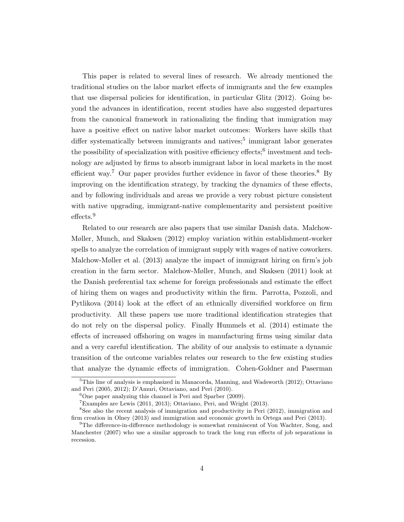This paper is related to several lines of research. We already mentioned the traditional studies on the labor market effects of immigrants and the few examples that use dispersal policies for identification, in particular Glitz (2012). Going beyond the advances in identification, recent studies have also suggested departures from the canonical framework in rationalizing the finding that immigration may have a positive effect on native labor market outcomes: Workers have skills that differ systematically between immigrants and natives;<sup>5</sup> immigrant labor generates the possibility of specialization with positive efficiency effects;<sup>6</sup> investment and technology are adjusted by firms to absorb immigrant labor in local markets in the most efficient way.<sup>7</sup> Our paper provides further evidence in favor of these theories.<sup>8</sup> By improving on the identification strategy, by tracking the dynamics of these effects, and by following individuals and areas we provide a very robust picture consistent with native upgrading, immigrant-native complementarity and persistent positive effects.<sup>9</sup>

Related to our research are also papers that use similar Danish data. Malchow-Møller, Munch, and Skaksen (2012) employ variation within establishment-worker spells to analyze the correlation of immigrant supply with wages of native coworkers. Malchow-Møller et al. (2013) analyze the impact of immigrant hiring on firm's job creation in the farm sector. Malchow-Møller, Munch, and Skaksen (2011) look at the Danish preferential tax scheme for foreign professionals and estimate the effect of hiring them on wages and productivity within the firm. Parrotta, Pozzoli, and Pytlikova (2014) look at the effect of an ethnically diversified workforce on firm productivity. All these papers use more traditional identification strategies that do not rely on the dispersal policy. Finally Hummels et al. (2014) estimate the effects of increased offshoring on wages in manufacturing firms using similar data and a very careful identification. The ability of our analysis to estimate a dynamic transition of the outcome variables relates our research to the few existing studies that analyze the dynamic effects of immigration. Cohen-Goldner and Paserman

 $5$ This line of analysis is emphasized in Manacorda, Manning, and Wadsworth (2012); Ottaviano and Peri (2005, 2012); D'Amuri, Ottaviano, and Peri (2010).

 ${}^{6}$ One paper analyzing this channel is Peri and Sparber (2009).

<sup>7</sup>Examples are Lewis (2011, 2013); Ottaviano, Peri, and Wright (2013).

<sup>8</sup>See also the recent analysis of immigration and productivity in Peri (2012), immigration and firm creation in Olney (2013) and immigration and economic growth in Ortega and Peri (2013).

 $^{9}$ The difference-in-difference methodology is somewhat reminiscent of Von Wachter, Song, and Manchester (2007) who use a similar approach to track the long run effects of job separations in recession.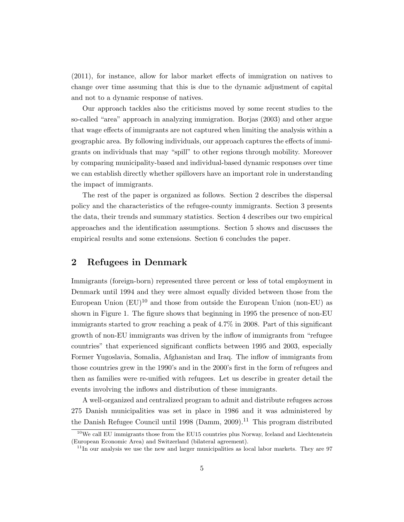(2011), for instance, allow for labor market effects of immigration on natives to change over time assuming that this is due to the dynamic adjustment of capital and not to a dynamic response of natives.

Our approach tackles also the criticisms moved by some recent studies to the so-called "area" approach in analyzing immigration. Borjas (2003) and other argue that wage effects of immigrants are not captured when limiting the analysis within a geographic area. By following individuals, our approach captures the effects of immigrants on individuals that may "spill" to other regions through mobility. Moreover by comparing municipality-based and individual-based dynamic responses over time we can establish directly whether spillovers have an important role in understanding the impact of immigrants.

The rest of the paper is organized as follows. Section 2 describes the dispersal policy and the characteristics of the refugee-county immigrants. Section 3 presents the data, their trends and summary statistics. Section 4 describes our two empirical approaches and the identification assumptions. Section 5 shows and discusses the empirical results and some extensions. Section 6 concludes the paper.

## 2 Refugees in Denmark

Immigrants (foreign-born) represented three percent or less of total employment in Denmark until 1994 and they were almost equally divided between those from the European Union  $(EU)^{10}$  and those from outside the European Union (non-EU) as shown in Figure 1. The figure shows that beginning in 1995 the presence of non-EU immigrants started to grow reaching a peak of 4.7% in 2008. Part of this significant growth of non-EU immigrants was driven by the inflow of immigrants from "refugee countries" that experienced significant conflicts between 1995 and 2003, especially Former Yugoslavia, Somalia, Afghanistan and Iraq. The inflow of immigrants from those countries grew in the 1990's and in the 2000's first in the form of refugees and then as families were re-unified with refugees. Let us describe in greater detail the events involving the inflows and distribution of these immigrants.

A well-organized and centralized program to admit and distribute refugees across 275 Danish municipalities was set in place in 1986 and it was administered by the Danish Refugee Council until 1998 (Damm, 2009).<sup>11</sup> This program distributed

 $10$ We call EU immigrants those from the EU15 countries plus Norway, Iceland and Liechtenstein (European Economic Area) and Switzerland (bilateral agreement).

 $11$ In our analysis we use the new and larger municipalities as local labor markets. They are 97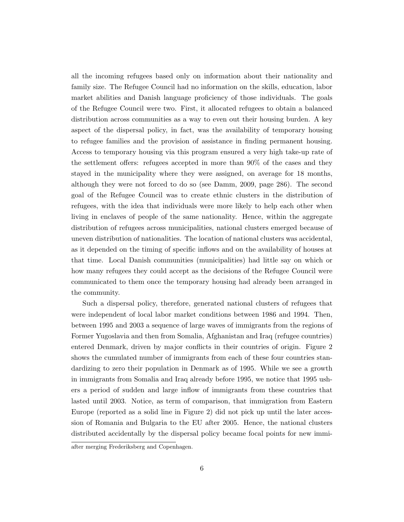all the incoming refugees based only on information about their nationality and family size. The Refugee Council had no information on the skills, education, labor market abilities and Danish language proficiency of those individuals. The goals of the Refugee Council were two. First, it allocated refugees to obtain a balanced distribution across communities as a way to even out their housing burden. A key aspect of the dispersal policy, in fact, was the availability of temporary housing to refugee families and the provision of assistance in finding permanent housing. Access to temporary housing via this program ensured a very high take-up rate of the settlement offers: refugees accepted in more than 90% of the cases and they stayed in the municipality where they were assigned, on average for 18 months, although they were not forced to do so (see Damm, 2009, page 286). The second goal of the Refugee Council was to create ethnic clusters in the distribution of refugees, with the idea that individuals were more likely to help each other when living in enclaves of people of the same nationality. Hence, within the aggregate distribution of refugees across municipalities, national clusters emerged because of uneven distribution of nationalities. The location of national clusters was accidental, as it depended on the timing of specific inflows and on the availability of houses at that time. Local Danish communities (municipalities) had little say on which or how many refugees they could accept as the decisions of the Refugee Council were communicated to them once the temporary housing had already been arranged in the community.

Such a dispersal policy, therefore, generated national clusters of refugees that were independent of local labor market conditions between 1986 and 1994. Then, between 1995 and 2003 a sequence of large waves of immigrants from the regions of Former Yugoslavia and then from Somalia, Afghanistan and Iraq (refugee countries) entered Denmark, driven by major conflicts in their countries of origin. Figure 2 shows the cumulated number of immigrants from each of these four countries standardizing to zero their population in Denmark as of 1995. While we see a growth in immigrants from Somalia and Iraq already before 1995, we notice that 1995 ushers a period of sudden and large inflow of immigrants from these countries that lasted until 2003. Notice, as term of comparison, that immigration from Eastern Europe (reported as a solid line in Figure 2) did not pick up until the later accession of Romania and Bulgaria to the EU after 2005. Hence, the national clusters distributed accidentally by the dispersal policy became focal points for new immi-

after merging Frederiksberg and Copenhagen.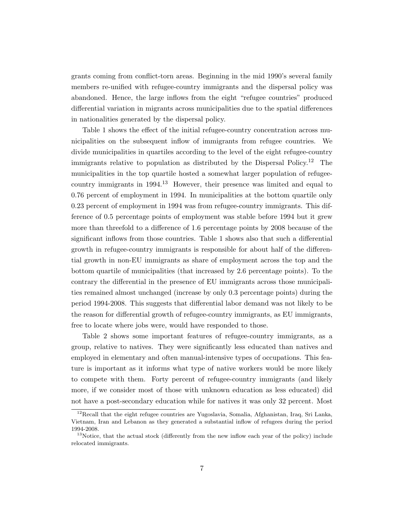grants coming from conflict-torn areas. Beginning in the mid 1990's several family members re-unified with refugee-country immigrants and the dispersal policy was abandoned. Hence, the large inflows from the eight "refugee countries" produced differential variation in migrants across municipalities due to the spatial differences in nationalities generated by the dispersal policy.

Table 1 shows the effect of the initial refugee-country concentration across municipalities on the subsequent inflow of immigrants from refugee countries. We divide municipalities in quartiles according to the level of the eight refugee-country immigrants relative to population as distributed by the Dispersal Policy.<sup>12</sup> The municipalities in the top quartile hosted a somewhat larger population of refugeecountry immigrants in 1994.<sup>13</sup> However, their presence was limited and equal to 0.76 percent of employment in 1994. In municipalities at the bottom quartile only 0.23 percent of employment in 1994 was from refugee-country immigrants. This difference of 0.5 percentage points of employment was stable before 1994 but it grew more than threefold to a difference of 1.6 percentage points by 2008 because of the significant inflows from those countries. Table 1 shows also that such a differential growth in refugee-country immigrants is responsible for about half of the differential growth in non-EU immigrants as share of employment across the top and the bottom quartile of municipalities (that increased by 2.6 percentage points). To the contrary the differential in the presence of EU immigrants across those municipalities remained almost unchanged (increase by only 0.3 percentage points) during the period 1994-2008. This suggests that differential labor demand was not likely to be the reason for differential growth of refugee-country immigrants, as EU immigrants, free to locate where jobs were, would have responded to those.

Table 2 shows some important features of refugee-country immigrants, as a group, relative to natives. They were significantly less educated than natives and employed in elementary and often manual-intensive types of occupations. This feature is important as it informs what type of native workers would be more likely to compete with them. Forty percent of refugee-country immigrants (and likely more, if we consider most of those with unknown education as less educated) did not have a post-secondary education while for natives it was only 32 percent. Most

<sup>&</sup>lt;sup>12</sup>Recall that the eight refugee countries are Yugoslavia, Somalia, Afghanistan, Iraq, Sri Lanka, Vietnam, Iran and Lebanon as they generated a substantial inflow of refugees during the period 1994-2008.

<sup>&</sup>lt;sup>13</sup>Notice, that the actual stock (differently from the new inflow each year of the policy) include relocated immigrants.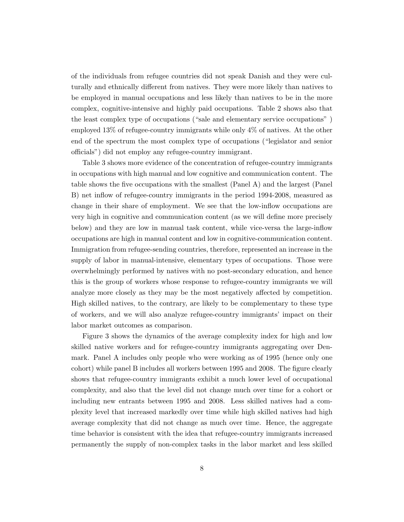of the individuals from refugee countries did not speak Danish and they were culturally and ethnically different from natives. They were more likely than natives to be employed in manual occupations and less likely than natives to be in the more complex, cognitive-intensive and highly paid occupations. Table 2 shows also that the least complex type of occupations ("sale and elementary service occupations" ) employed 13% of refugee-country immigrants while only 4% of natives. At the other end of the spectrum the most complex type of occupations ("legislator and senior officials") did not employ any refugee-country immigrant.

Table 3 shows more evidence of the concentration of refugee-country immigrants in occupations with high manual and low cognitive and communication content. The table shows the five occupations with the smallest (Panel A) and the largest (Panel B) net inflow of refugee-country immigrants in the period 1994-2008, measured as change in their share of employment. We see that the low-inflow occupations are very high in cognitive and communication content (as we will define more precisely below) and they are low in manual task content, while vice-versa the large-inflow occupations are high in manual content and low in cognitive-communication content. Immigration from refugee-sending countries, therefore, represented an increase in the supply of labor in manual-intensive, elementary types of occupations. Those were overwhelmingly performed by natives with no post-secondary education, and hence this is the group of workers whose response to refugee-country immigrants we will analyze more closely as they may be the most negatively affected by competition. High skilled natives, to the contrary, are likely to be complementary to these type of workers, and we will also analyze refugee-country immigrants' impact on their labor market outcomes as comparison.

Figure 3 shows the dynamics of the average complexity index for high and low skilled native workers and for refugee-country immigrants aggregating over Denmark. Panel A includes only people who were working as of 1995 (hence only one cohort) while panel B includes all workers between 1995 and 2008. The figure clearly shows that refugee-country immigrants exhibit a much lower level of occupational complexity, and also that the level did not change much over time for a cohort or including new entrants between 1995 and 2008. Less skilled natives had a complexity level that increased markedly over time while high skilled natives had high average complexity that did not change as much over time. Hence, the aggregate time behavior is consistent with the idea that refugee-country immigrants increased permanently the supply of non-complex tasks in the labor market and less skilled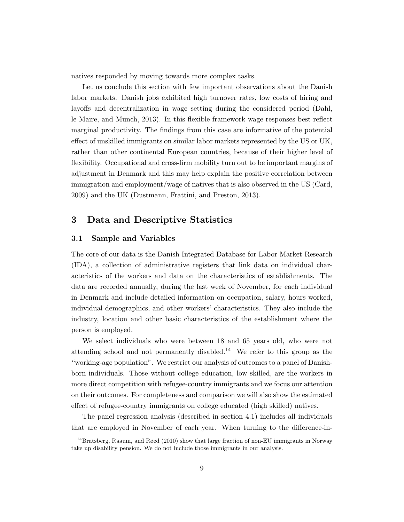natives responded by moving towards more complex tasks.

Let us conclude this section with few important observations about the Danish labor markets. Danish jobs exhibited high turnover rates, low costs of hiring and layoffs and decentralization in wage setting during the considered period (Dahl, le Maire, and Munch, 2013). In this flexible framework wage responses best reflect marginal productivity. The findings from this case are informative of the potential effect of unskilled immigrants on similar labor markets represented by the US or UK, rather than other continental European countries, because of their higher level of flexibility. Occupational and cross-firm mobility turn out to be important margins of adjustment in Denmark and this may help explain the positive correlation between immigration and employment/wage of natives that is also observed in the US (Card, 2009) and the UK (Dustmann, Frattini, and Preston, 2013).

#### 3 Data and Descriptive Statistics

#### 3.1 Sample and Variables

The core of our data is the Danish Integrated Database for Labor Market Research (IDA), a collection of administrative registers that link data on individual characteristics of the workers and data on the characteristics of establishments. The data are recorded annually, during the last week of November, for each individual in Denmark and include detailed information on occupation, salary, hours worked, individual demographics, and other workers' characteristics. They also include the industry, location and other basic characteristics of the establishment where the person is employed.

We select individuals who were between 18 and 65 years old, who were not attending school and not permanently disabled.<sup>14</sup> We refer to this group as the "working-age population". We restrict our analysis of outcomes to a panel of Danishborn individuals. Those without college education, low skilled, are the workers in more direct competition with refugee-country immigrants and we focus our attention on their outcomes. For completeness and comparison we will also show the estimated effect of refugee-country immigrants on college educated (high skilled) natives.

The panel regression analysis (described in section 4.1) includes all individuals that are employed in November of each year. When turning to the difference-in-

 $14$ Bratsberg, Raaum, and Røed (2010) show that large fraction of non-EU immigrants in Norway take up disability pension. We do not include those immigrants in our analysis.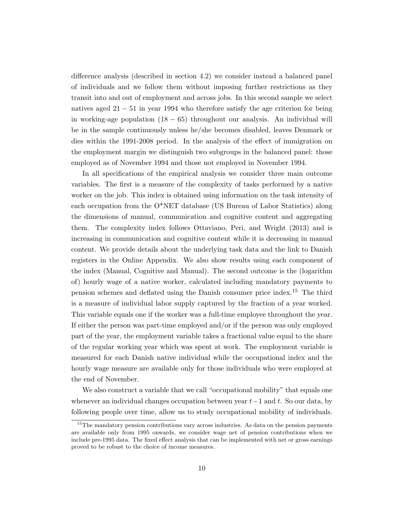difference analysis (described in section 4.2) we consider instead a balanced panel of individuals and we follow them without imposing further restrictions as they transit into and out of employment and across jobs. In this second sample we select natives aged 21 − 51 in year 1994 who therefore satisfy the age criterion for being in working-age population  $(18 - 65)$  throughout our analysis. An individual will be in the sample continuously unless he/she becomes disabled, leaves Denmark or dies within the 1991-2008 period. In the analysis of the effect of immigration on the employment margin we distinguish two subgroups in the balanced panel: those employed as of November 1994 and those not employed in November 1994.

In all specifications of the empirical analysis we consider three main outcome variables. The first is a measure of the complexity of tasks performed by a native worker on the job. This index is obtained using information on the task intensity of each occupation from the O\*NET database (US Bureau of Labor Statistics) along the dimensions of manual, communication and cognitive content and aggregating them. The complexity index follows Ottaviano, Peri, and Wright (2013) and is increasing in communication and cognitive content while it is decreasing in manual content. We provide details about the underlying task data and the link to Danish registers in the Online Appendix. We also show results using each component of the index (Manual, Cognitive and Manual). The second outcome is the (logarithm of) hourly wage of a native worker, calculated including mandatory payments to pension schemes and deflated using the Danish consumer price index.<sup>15</sup> The third is a measure of individual labor supply captured by the fraction of a year worked. This variable equals one if the worker was a full-time employee throughout the year. If either the person was part-time employed and/or if the person was only employed part of the year, the employment variable takes a fractional value equal to the share of the regular working year which was spent at work. The employment variable is measured for each Danish native individual while the occupational index and the hourly wage measure are available only for those individuals who were employed at the end of November.

We also construct a variable that we call "occupational mobility" that equals one whenever an individual changes occupation between year  $t-1$  and t. So our data, by following people over time, allow us to study occupational mobility of individuals.

<sup>&</sup>lt;sup>15</sup>The mandatory pension contributions vary across industries. As data on the pension payments are available only from 1995 onwards, we consider wage net of pension contributions when we include pre-1995 data. The fixed effect analysis that can be implemented with net or gross earnings proved to be robust to the choice of income measures.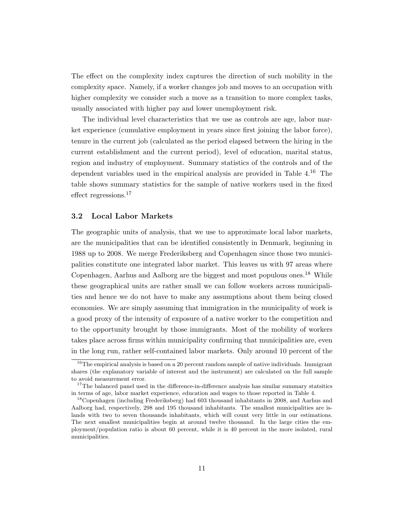The effect on the complexity index captures the direction of such mobility in the complexity space. Namely, if a worker changes job and moves to an occupation with higher complexity we consider such a move as a transition to more complex tasks, usually associated with higher pay and lower unemployment risk.

The individual level characteristics that we use as controls are age, labor market experience (cumulative employment in years since first joining the labor force), tenure in the current job (calculated as the period elapsed between the hiring in the current establishment and the current period), level of education, marital status, region and industry of employment. Summary statistics of the controls and of the dependent variables used in the empirical analysis are provided in Table  $4^{16}$ . The table shows summary statistics for the sample of native workers used in the fixed effect regressions.<sup>17</sup>

#### 3.2 Local Labor Markets

The geographic units of analysis, that we use to approximate local labor markets, are the municipalities that can be identified consistently in Denmark, beginning in 1988 up to 2008. We merge Frederiksberg and Copenhagen since those two municipalities constitute one integrated labor market. This leaves us with 97 areas where Copenhagen, Aarhus and Aalborg are the biggest and most populous ones.<sup>18</sup> While these geographical units are rather small we can follow workers across municipalities and hence we do not have to make any assumptions about them being closed economies. We are simply assuming that immigration in the municipality of work is a good proxy of the intensity of exposure of a native worker to the competition and to the opportunity brought by those immigrants. Most of the mobility of workers takes place across firms within municipality confirming that municipalities are, even in the long run, rather self-contained labor markets. Only around 10 percent of the

<sup>&</sup>lt;sup>16</sup>The empirical analysis is based on a 20 percent random sample of native individuals. Immigrant shares (the explanatory variable of interest and the instrument) are calculated on the full sample to avoid measurement error.

 $17$ The balanced panel used in the difference-in-difference analysis has similar summary statsitics in terms of age, labor market experience, education and wages to those reported in Table 4.

<sup>&</sup>lt;sup>18</sup>Copenhagen (including Frederiksberg) had 603 thousand inhabitants in 2008, and Aarhus and Aalborg had, respectively, 298 and 195 thousand inhabitants. The smallest municipalities are islands with two to seven thousands inhabitants, which will count very little in our estimations. The next smallest municipalities begin at around twelve thousand. In the large cities the employment/population ratio is about 60 percent, while it is 40 percent in the more isolated, rural municipalities.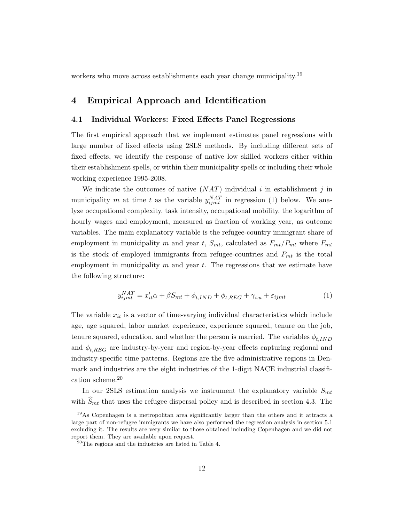workers who move across establishments each year change municipality.<sup>19</sup>

### 4 Empirical Approach and Identification

#### 4.1 Individual Workers: Fixed Effects Panel Regressions

The first empirical approach that we implement estimates panel regressions with large number of fixed effects using 2SLS methods. By including different sets of fixed effects, we identify the response of native low skilled workers either within their establishment spells, or within their municipality spells or including their whole working experience 1995-2008.

We indicate the outcomes of native  $(NAT)$  individual i in establishment j in municipality m at time t as the variable  $y_{ijmt}^{NAT}$  in regression (1) below. We analyze occupational complexity, task intensity, occupational mobility, the logarithm of hourly wages and employment, measured as fraction of working year, as outcome variables. The main explanatory variable is the refugee-country immigrant share of employment in municipality m and year t,  $S_{mt}$ , calculated as  $F_{mt}/P_{mt}$  where  $F_{mt}$ is the stock of employed immigrants from refugee-countries and  $P_{mt}$  is the total employment in municipality  $m$  and year  $t$ . The regressions that we estimate have the following structure:

$$
y_{ijmt}^{NAT} = x_{it}^{\prime} \alpha + \beta S_{mt} + \phi_{t, IND} + \phi_{t, REG} + \gamma_{i, u} + \varepsilon_{ijmt}
$$
\n<sup>(1)</sup>

The variable  $x_{it}$  is a vector of time-varying individual characteristics which include age, age squared, labor market experience, experience squared, tenure on the job, tenure squared, education, and whether the person is married. The variables  $\phi_{t,IND}$ and  $\phi_{t,REG}$  are industry-by-year and region-by-year effects capturing regional and industry-specific time patterns. Regions are the five administrative regions in Denmark and industries are the eight industries of the 1-digit NACE industrial classification scheme.<sup>20</sup>

In our 2SLS estimation analysis we instrument the explanatory variable  $S_{mt}$ with  $S_{mt}$  that uses the refugee dispersal policy and is described in section 4.3. The

<sup>19</sup>As Copenhagen is a metropolitan area significantly larger than the others and it attracts a large part of non-refugee immigrants we have also performed the regression analysis in section 5.1 excluding it. The results are very similar to those obtained including Copenhagen and we did not report them. They are available upon request.

<sup>20</sup>The regions and the industries are listed in Table 4.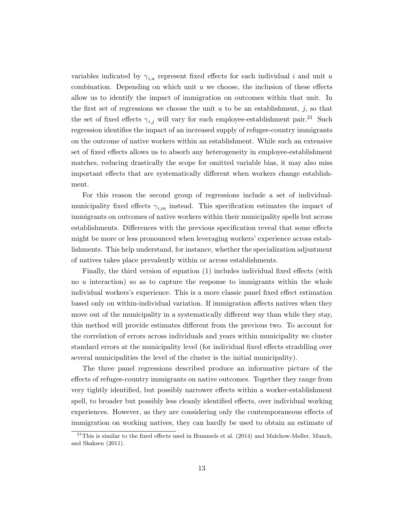variables indicated by  $\gamma_{i,u}$  represent fixed effects for each individual i and unit u combination. Depending on which unit  $u$  we choose, the inclusion of these effects allow us to identify the impact of immigration on outcomes within that unit. In the first set of regressions we choose the unit  $u$  to be an establishment,  $j$ , so that the set of fixed effects  $\gamma_{i,j}$  will vary for each employee-establishment pair.<sup>21</sup> Such regression identifies the impact of an increased supply of refugee-country immigrants on the outcome of native workers within an establishment. While such an extensive set of fixed effects allows us to absorb any heterogeneity in employee-establishment matches, reducing drastically the scope for omitted variable bias, it may also miss important effects that are systematically different when workers change establishment.

For this reason the second group of regressions include a set of individualmunicipality fixed effects  $\gamma_{i,m}$  instead. This specification estimates the impact of immigrants on outcomes of native workers within their municipality spells but across establishments. Differences with the previous specification reveal that some effects might be more or less pronounced when leveraging workers' experience across establishments. This help understand, for instance, whether the specialization adjustment of natives takes place prevalently within or across establishments.

Finally, the third version of equation (1) includes individual fixed effects (with no  $u$  interaction) so as to capture the response to immigrants within the whole individual workers's experience. This is a more classic panel fixed effect estimation based only on within-individual variation. If immigration affects natives when they move out of the municipality in a systematically different way than while they stay, this method will provide estimates different from the previous two. To account for the correlation of errors across individuals and years within municipality we cluster standard errors at the municipality level (for individual fixed effects straddling over several municipalities the level of the cluster is the initial municipality).

The three panel regressions described produce an informative picture of the effects of refugee-country immigrants on native outcomes. Together they range from very tightly identified, but possibly narrower effects within a worker-establishment spell, to broader but possibly less cleanly identified effects, over individual working experiences. However, as they are considering only the contemporaneous effects of immigration on working natives, they can hardly be used to obtain an estimate of

<sup>&</sup>lt;sup>21</sup>This is similar to the fixed effects used in Hummels et al.  $(2014)$  and Malchow-Møller, Munch, and Skaksen (2011).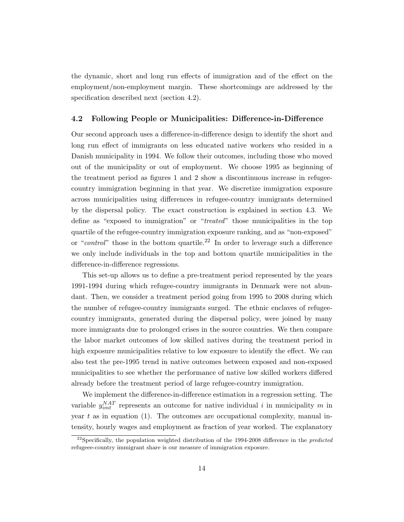the dynamic, short and long run effects of immigration and of the effect on the employment/non-employment margin. These shortcomings are addressed by the specification described next (section 4.2).

#### 4.2 Following People or Municipalities: Difference-in-Difference

Our second approach uses a difference-in-difference design to identify the short and long run effect of immigrants on less educated native workers who resided in a Danish municipality in 1994. We follow their outcomes, including those who moved out of the municipality or out of employment. We choose 1995 as beginning of the treatment period as figures 1 and 2 show a discontinuous increase in refugeecountry immigration beginning in that year. We discretize immigration exposure across municipalities using differences in refugee-country immigrants determined by the dispersal policy. The exact construction is explained in section 4.3. We define as "exposed to immigration" or "treated" those municipalities in the top quartile of the refugee-country immigration exposure ranking, and as "non-exposed" or "*control*" those in the bottom quartile.<sup>22</sup> In order to leverage such a difference we only include individuals in the top and bottom quartile municipalities in the difference-in-difference regressions.

This set-up allows us to define a pre-treatment period represented by the years 1991-1994 during which refugee-country immigrants in Denmark were not abundant. Then, we consider a treatment period going from 1995 to 2008 during which the number of refugee-country immigrants surged. The ethnic enclaves of refugeecountry immigrants, generated during the dispersal policy, were joined by many more immigrants due to prolonged crises in the source countries. We then compare the labor market outcomes of low skilled natives during the treatment period in high exposure municipalities relative to low exposure to identify the effect. We can also test the pre-1995 trend in native outcomes between exposed and non-exposed municipalities to see whether the performance of native low skilled workers differed already before the treatment period of large refugee-country immigration.

We implement the difference-in-difference estimation in a regression setting. The variable  $y_{imt}^{NAT}$  represents an outcome for native individual i in municipality m in year  $t$  as in equation (1). The outcomes are occupational complexity, manual intensity, hourly wages and employment as fraction of year worked. The explanatory

 $^{22}$ Specifically, the population weighted distribution of the 1994-2008 difference in the *predicted* refugeee-country immigrant share is our measure of immigration exposure.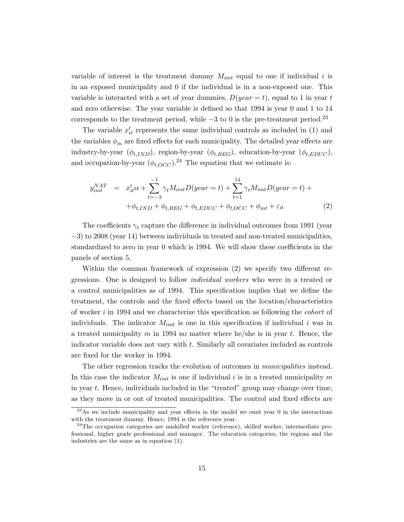variable of interest is the treatment dummy  $M_{imt}$  equal to one if individual i is in an exposed municipality and 0 if the individual is in a non-exposed one. This variable is interacted with a set of year dummies,  $D(year = t)$ , equal to 1 in year t and zero otherwise. The year variable is defined so that 1994 is year 0 and 1 to 14 corresponds to the treatment period, while  $-3$  to 0 is the pre-treatment period.<sup>23</sup>

The variable  $x'_{it}$  represents the same individual controls as included in (1) and the variables  $\phi_m$  are fixed effects for each municipality. The detailed year effects are industry-by-year  $(\phi_{t,IND})$ , region-by-year  $(\phi_{t,REG})$ , education-by-year  $(\phi_{t,EDUC})$ , and occupation-by-year  $(\phi_{t,OCC})^{24}$  The equation that we estimate is:

$$
y_{imt}^{NAT} = x_{it}'\alpha + \sum_{t=-3}^{-1} \gamma_t M_{imt} D(year = t) + \sum_{t=1}^{14} \gamma_t M_{imt} D(year = t) + + \phi_{t,IND} + \phi_{t,REG} + \phi_{t,EDUC} + \phi_{t, OCC} + \phi_{mt} + \varepsilon_{it}
$$
 (2)

The coefficients  $\gamma_t$  capture the difference in individual outcomes from 1991 (year −3) to 2008 (year 14) between individuals in treated and non-treated municipalities, standardized to zero in year 0 which is 1994. We will show these coefficients in the panels of section 5.

Within the common framework of expression (2) we specify two different regressions. One is designed to follow individual workers who were in a treated or a control municipalities as of 1994. This specification implies that we define the treatment, the controls and the fixed effects based on the location/characteristics of worker i in 1994 and we characterize this specification as following the cohort of individuals. The indicator  $M_{imt}$  is one in this specification if individual i was in a treated municipality m in 1994 no matter where he/she is in year t. Hence, the indicator variable does not vary with t. Similarly all covariates included as controls are fixed for the worker in 1994.

The other regression tracks the evolution of outcomes in *municipalities* instead. In this case the indicator  $M_{imt}$  is one if individual i is in a treated municipality m in year t. Hence, individuals included in the "treated" group may change over time, as they move in or out of treated municipalities. The control and fixed effects are

<sup>&</sup>lt;sup>23</sup>As we include municipality and year effects in the model we omit year 0 in the interactions with the treatment dummy. Hence, 1994 is the reference year.

 $24$ The occupation categories are unskilled worker (reference), skilled worker, intermediate professional, higher grade professional and manager. The education categories, the regions and the industries are the same as in equation (1).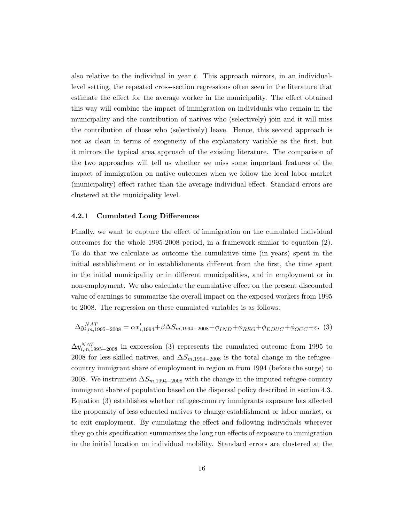also relative to the individual in year  $t$ . This approach mirrors, in an individuallevel setting, the repeated cross-section regressions often seen in the literature that estimate the effect for the average worker in the municipality. The effect obtained this way will combine the impact of immigration on individuals who remain in the municipality and the contribution of natives who (selectively) join and it will miss the contribution of those who (selectively) leave. Hence, this second approach is not as clean in terms of exogeneity of the explanatory variable as the first, but it mirrors the typical area approach of the existing literature. The comparison of the two approaches will tell us whether we miss some important features of the impact of immigration on native outcomes when we follow the local labor market (municipality) effect rather than the average individual effect. Standard errors are clustered at the municipality level.

#### 4.2.1 Cumulated Long Differences

Finally, we want to capture the effect of immigration on the cumulated individual outcomes for the whole 1995-2008 period, in a framework similar to equation (2). To do that we calculate as outcome the cumulative time (in years) spent in the initial establishment or in establishments different from the first, the time spent in the initial municipality or in different municipalities, and in employment or in non-employment. We also calculate the cumulative effect on the present discounted value of earnings to summarize the overall impact on the exposed workers from 1995 to 2008. The regression on these cumulated variables is as follows:

$$
\Delta y_{i,m,1995-2008}^{NAT} = \alpha x_{i,1994}^{\prime} + \beta \Delta S_{m,1994-2008} + \phi_{IND} + \phi_{REG} + \phi_{EDUC} + \phi_{OCC} + \varepsilon_i
$$
 (3)

 $\Delta y_{i,m,1995-2008}^{NAT}$  in expression (3) represents the cumulated outcome from 1995 to 2008 for less-skilled natives, and  $\Delta S_{m,1994-2008}$  is the total change in the refugeecountry immigrant share of employment in region  $m$  from 1994 (before the surge) to 2008. We instrument  $\Delta S_{m,1994-2008}$  with the change in the imputed refugee-country immigrant share of population based on the dispersal policy described in section 4.3. Equation (3) establishes whether refugee-country immigrants exposure has affected the propensity of less educated natives to change establishment or labor market, or to exit employment. By cumulating the effect and following individuals wherever they go this specification summarizes the long run effects of exposure to immigration in the initial location on individual mobility. Standard errors are clustered at the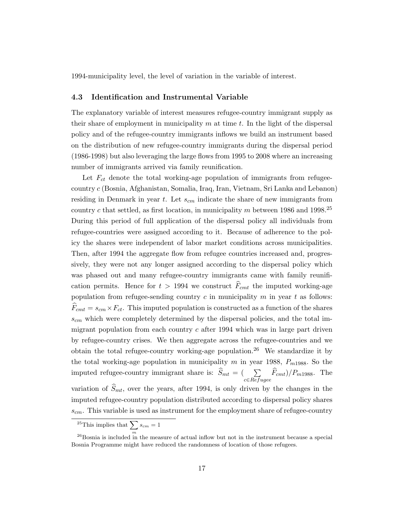1994-municipality level, the level of variation in the variable of interest.

#### 4.3 Identification and Instrumental Variable

The explanatory variable of interest measures refugee-country immigrant supply as their share of employment in municipality  $m$  at time  $t$ . In the light of the dispersal policy and of the refugee-country immigrants inflows we build an instrument based on the distribution of new refugee-country immigrants during the dispersal period (1986-1998) but also leveraging the large flows from 1995 to 2008 where an increasing number of immigrants arrived via family reunification.

Let  $F_{ct}$  denote the total working-age population of immigrants from refugeecountry c (Bosnia, Afghanistan, Somalia, Iraq, Iran, Vietnam, Sri Lanka and Lebanon) residing in Denmark in year t. Let  $s_{cm}$  indicate the share of new immigrants from country c that settled, as first location, in municipality m between 1986 and 1998.<sup>25</sup> During this period of full application of the dispersal policy all individuals from refugee-countries were assigned according to it. Because of adherence to the policy the shares were independent of labor market conditions across municipalities. Then, after 1994 the aggregate flow from refugee countries increased and, progressively, they were not any longer assigned according to the dispersal policy which was phased out and many refugee-country immigrants came with family reunification permits. Hence for  $t > 1994$  we construct  $\widehat{F}_{cmt}$  the imputed working-age population from refugee-sending country  $c$  in municipality  $m$  in year  $t$  as follows:  $\widehat{F}_{cmt} = s_{cm} \times F_{ct}$ . This imputed population is constructed as a function of the shares  $s_{cm}$  which were completely determined by the dispersal policies, and the total immigrant population from each country  $c$  after 1994 which was in large part driven by refugee-country crises. We then aggregate across the refugee-countries and we obtain the total refugee-country working-age population.<sup>26</sup> We standardize it by the total working-age population in municipality  $m$  in year 1988,  $P_{m1988}$ . So the imputed refugee-country immigrant share is:  $\overline{S}_{mt} = (\sum_{c \in \text{Refuge}} \overline{F}_{cmt})/P_{m1988}$ . The variation of  $\widehat{S}_{mt}$ , over the years, after 1994, is only driven by the changes in the imputed refugee-country population distributed according to dispersal policy shares

 $s_{cm}$ . This variable is used as instrument for the employment share of refugee-country

<sup>&</sup>lt;sup>25</sup>This implies that  $\sum s_{cm} = 1$ 

<sup>&</sup>lt;sup>26</sup>Bosnia is included in the measure of actual inflow but not in the instrument because a special Bosnia Programme might have reduced the randomness of location of those refugees.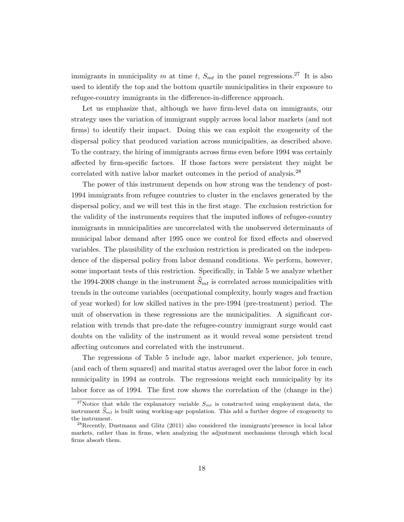immigrants in municipality m at time t,  $S_{mt}$  in the panel regressions.<sup>27</sup> It is also used to identify the top and the bottom quartile municipalities in their exposure to refugee-country immigrants in the difference-in-difference approach.

Let us emphasize that, although we have firm-level data on immigrants, our strategy uses the variation of immigrant supply across local labor markets (and not firms) to identify their impact. Doing this we can exploit the exogeneity of the dispersal policy that produced variation across municipalities, as described above. To the contrary, the hiring of immigrants across firms even before 1994 was certainly affected by firm-specific factors. If those factors were persistent they might be correlated with native labor market outcomes in the period of analysis.<sup>28</sup>

The power of this instrument depends on how strong was the tendency of post-1994 immigrants from refugee countries to cluster in the enclaves generated by the dispersal policy, and we will test this in the first stage. The exclusion restriction for the validity of the instruments requires that the imputed inflows of refugee-country immigrants in municipalities are uncorrelated with the unobserved determinants of municipal labor demand after 1995 once we control for fixed effects and observed variables. The plausibility of the exclusion restriction is predicated on the independence of the dispersal policy from labor demand conditions. We perform, however, some important tests of this restriction. Specifically, in Table 5 we analyze whether the 1994-2008 change in the instrument  $\widehat{S}_{mt}$  is correlated across municipalities with trends in the outcome variables (occupational complexity, hourly wages and fraction of year worked) for low skilled natives in the pre-1994 (pre-treatment) period. The unit of observation in these regressions are the municipalities. A significant correlation with trends that pre-date the refugee-country immigrant surge would cast doubts on the validity of the instrument as it would reveal some persistent trend affecting outcomes and correlated with the instrument.

The regressions of Table 5 include age, labor market experience, job tenure, (and each of them squared) and marital status averaged over the labor force in each municipality in 1994 as controls. The regressions weight each municipality by its labor force as of 1994. The first row shows the correlation of the (change in the)

<sup>&</sup>lt;sup>27</sup>Notice that while the explanatory variable  $S_{mt}$  is constructed using employment data, the instrument  $\hat{S}_{mt}$  is built using working-age population. This add a further degree of exogeneity to the instrument.

<sup>28</sup>Recently, Dustmann and Glitz (2011) also considered the immigrants'presence in local labor markets, rather than in firms, when analyzing the adjustment mechanisms through which local firms absorb them.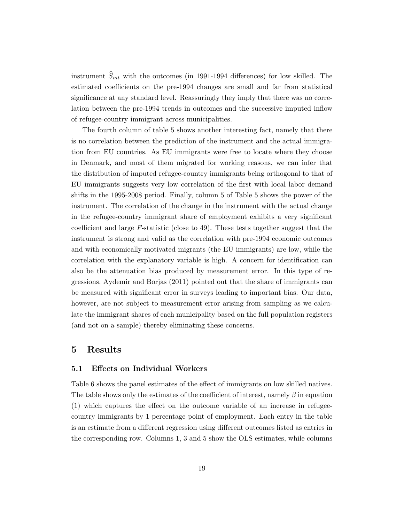instrument  $\widehat{S}_{mt}$  with the outcomes (in 1991-1994 differences) for low skilled. The estimated coefficients on the pre-1994 changes are small and far from statistical significance at any standard level. Reassuringly they imply that there was no correlation between the pre-1994 trends in outcomes and the successive imputed inflow of refugee-country immigrant across municipalities.

The fourth column of table 5 shows another interesting fact, namely that there is no correlation between the prediction of the instrument and the actual immigration from EU countries. As EU immigrants were free to locate where they choose in Denmark, and most of them migrated for working reasons, we can infer that the distribution of imputed refugee-country immigrants being orthogonal to that of EU immigrants suggests very low correlation of the first with local labor demand shifts in the 1995-2008 period. Finally, column 5 of Table 5 shows the power of the instrument. The correlation of the change in the instrument with the actual change in the refugee-country immigrant share of employment exhibits a very significant coefficient and large F-statistic (close to 49). These tests together suggest that the instrument is strong and valid as the correlation with pre-1994 economic outcomes and with economically motivated migrants (the EU immigrants) are low, while the correlation with the explanatory variable is high. A concern for identification can also be the attenuation bias produced by measurement error. In this type of regressions, Aydemir and Borjas (2011) pointed out that the share of immigrants can be measured with significant error in surveys leading to important bias. Our data, however, are not subject to measurement error arising from sampling as we calculate the immigrant shares of each municipality based on the full population registers (and not on a sample) thereby eliminating these concerns.

#### 5 Results

#### 5.1 Effects on Individual Workers

Table 6 shows the panel estimates of the effect of immigrants on low skilled natives. The table shows only the estimates of the coefficient of interest, namely  $\beta$  in equation (1) which captures the effect on the outcome variable of an increase in refugeecountry immigrants by 1 percentage point of employment. Each entry in the table is an estimate from a different regression using different outcomes listed as entries in the corresponding row. Columns 1, 3 and 5 show the OLS estimates, while columns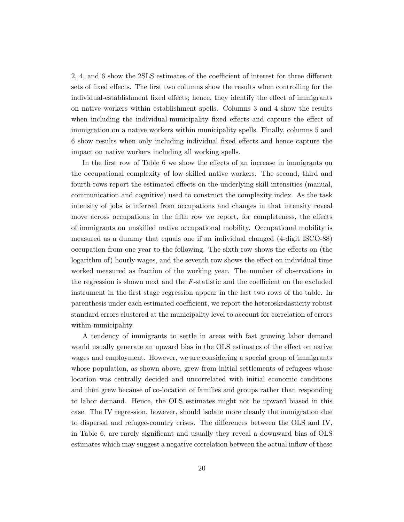2, 4, and 6 show the 2SLS estimates of the coefficient of interest for three different sets of fixed effects. The first two columns show the results when controlling for the individual-establishment fixed effects; hence, they identify the effect of immigrants on native workers within establishment spells. Columns 3 and 4 show the results when including the individual-municipality fixed effects and capture the effect of immigration on a native workers within municipality spells. Finally, columns 5 and 6 show results when only including individual fixed effects and hence capture the impact on native workers including all working spells.

In the first row of Table 6 we show the effects of an increase in immigrants on the occupational complexity of low skilled native workers. The second, third and fourth rows report the estimated effects on the underlying skill intensities (manual, communication and cognitive) used to construct the complexity index. As the task intensity of jobs is inferred from occupations and changes in that intensity reveal move across occupations in the fifth row we report, for completeness, the effects of immigrants on unskilled native occupational mobility. Occupational mobility is measured as a dummy that equals one if an individual changed (4-digit ISCO-88) occupation from one year to the following. The sixth row shows the effects on (the logarithm of) hourly wages, and the seventh row shows the effect on individual time worked measured as fraction of the working year. The number of observations in the regression is shown next and the  $F$ -statistic and the coefficient on the excluded instrument in the first stage regression appear in the last two rows of the table. In parenthesis under each estimated coefficient, we report the heteroskedasticity robust standard errors clustered at the municipality level to account for correlation of errors within-municipality.

A tendency of immigrants to settle in areas with fast growing labor demand would usually generate an upward bias in the OLS estimates of the effect on native wages and employment. However, we are considering a special group of immigrants whose population, as shown above, grew from initial settlements of refugees whose location was centrally decided and uncorrelated with initial economic conditions and then grew because of co-location of families and groups rather than responding to labor demand. Hence, the OLS estimates might not be upward biased in this case. The IV regression, however, should isolate more cleanly the immigration due to dispersal and refugee-country crises. The differences between the OLS and IV, in Table 6, are rarely significant and usually they reveal a downward bias of OLS estimates which may suggest a negative correlation between the actual inflow of these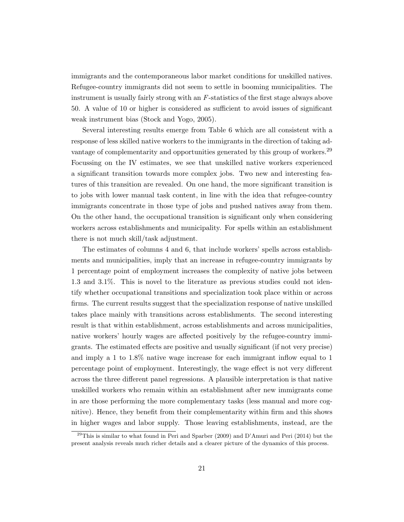immigrants and the contemporaneous labor market conditions for unskilled natives. Refugee-country immigrants did not seem to settle in booming municipalities. The instrument is usually fairly strong with an F-statistics of the first stage always above 50. A value of 10 or higher is considered as sufficient to avoid issues of significant weak instrument bias (Stock and Yogo, 2005).

Several interesting results emerge from Table 6 which are all consistent with a response of less skilled native workers to the immigrants in the direction of taking advantage of complementarity and opportunities generated by this group of workers.<sup>29</sup> Focussing on the IV estimates, we see that unskilled native workers experienced a significant transition towards more complex jobs. Two new and interesting features of this transition are revealed. On one hand, the more significant transition is to jobs with lower manual task content, in line with the idea that refugee-country immigrants concentrate in those type of jobs and pushed natives away from them. On the other hand, the occupational transition is significant only when considering workers across establishments and municipality. For spells within an establishment there is not much skill/task adjustment.

The estimates of columns 4 and 6, that include workers' spells across establishments and municipalities, imply that an increase in refugee-country immigrants by 1 percentage point of employment increases the complexity of native jobs between 1.3 and 3.1%. This is novel to the literature as previous studies could not identify whether occupational transitions and specialization took place within or across firms. The current results suggest that the specialization response of native unskilled takes place mainly with transitions across establishments. The second interesting result is that within establishment, across establishments and across municipalities, native workers' hourly wages are affected positively by the refugee-country immigrants. The estimated effects are positive and usually significant (if not very precise) and imply a 1 to 1.8% native wage increase for each immigrant inflow equal to 1 percentage point of employment. Interestingly, the wage effect is not very different across the three different panel regressions. A plausible interpretation is that native unskilled workers who remain within an establishment after new immigrants come in are those performing the more complementary tasks (less manual and more cognitive). Hence, they benefit from their complementarity within firm and this shows in higher wages and labor supply. Those leaving establishments, instead, are the

 $^{29}$ This is similar to what found in Peri and Sparber (2009) and D'Amuri and Peri (2014) but the present analysis reveals much richer details and a clearer picture of the dynamics of this process.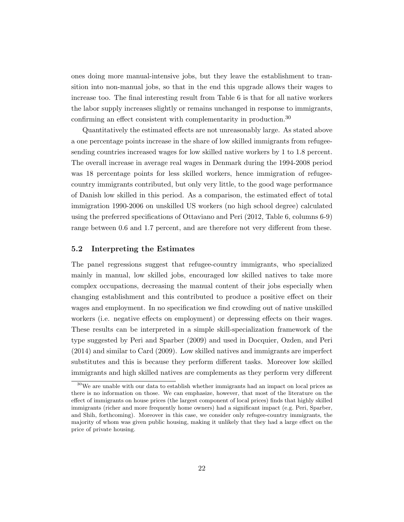ones doing more manual-intensive jobs, but they leave the establishment to transition into non-manual jobs, so that in the end this upgrade allows their wages to increase too. The final interesting result from Table 6 is that for all native workers the labor supply increases slightly or remains unchanged in response to immigrants, confirming an effect consistent with complementarity in production.<sup>30</sup>

Quantitatively the estimated effects are not unreasonably large. As stated above a one percentage points increase in the share of low skilled immigrants from refugeesending countries increased wages for low skilled native workers by 1 to 1.8 percent. The overall increase in average real wages in Denmark during the 1994-2008 period was 18 percentage points for less skilled workers, hence immigration of refugeecountry immigrants contributed, but only very little, to the good wage performance of Danish low skilled in this period. As a comparison, the estimated effect of total immigration 1990-2006 on unskilled US workers (no high school degree) calculated using the preferred specifications of Ottaviano and Peri (2012, Table 6, columns 6-9) range between 0.6 and 1.7 percent, and are therefore not very different from these.

#### 5.2 Interpreting the Estimates

The panel regressions suggest that refugee-country immigrants, who specialized mainly in manual, low skilled jobs, encouraged low skilled natives to take more complex occupations, decreasing the manual content of their jobs especially when changing establishment and this contributed to produce a positive effect on their wages and employment. In no specification we find crowding out of native unskilled workers (i.e. negative effects on employment) or depressing effects on their wages. These results can be interpreted in a simple skill-specialization framework of the type suggested by Peri and Sparber (2009) and used in Docquier, Ozden, and Peri (2014) and similar to Card (2009). Low skilled natives and immigrants are imperfect substitutes and this is because they perform different tasks. Moreover low skilled immigrants and high skilled natives are complements as they perform very different

 $30\,\text{We}$  are unable with our data to establish whether immigrants had an impact on local prices as there is no information on those. We can emphasize, however, that most of the literature on the effect of immigrants on house prices (the largest component of local prices) finds that highly skilled immigrants (richer and more frequently home owners) had a significant impact (e.g. Peri, Sparber, and Shih, forthcoming). Moreover in this case, we consider only refugee-country immigrants, the majority of whom was given public housing, making it unlikely that they had a large effect on the price of private housing.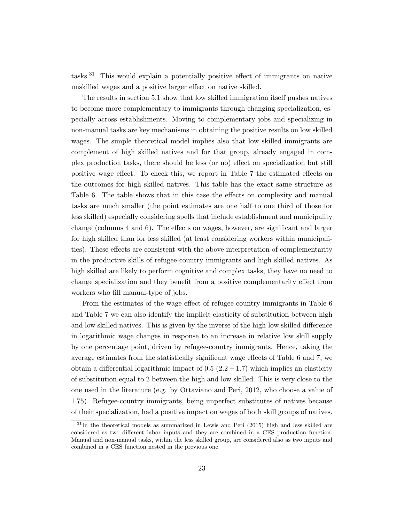tasks.<sup>31</sup> This would explain a potentially positive effect of immigrants on native unskilled wages and a positive larger effect on native skilled.

The results in section 5.1 show that low skilled immigration itself pushes natives to become more complementary to immigrants through changing specialization, especially across establishments. Moving to complementary jobs and specializing in non-manual tasks are key mechanisms in obtaining the positive results on low skilled wages. The simple theoretical model implies also that low skilled immigrants are complement of high skilled natives and for that group, already engaged in complex production tasks, there should be less (or no) effect on specialization but still positive wage effect. To check this, we report in Table 7 the estimated effects on the outcomes for high skilled natives. This table has the exact same structure as Table 6. The table shows that in this case the effects on complexity and manual tasks are much smaller (the point estimates are one half to one third of those for less skilled) especially considering spells that include establishment and municipality change (columns 4 and 6). The effects on wages, however, are significant and larger for high skilled than for less skilled (at least considering workers within municipalities). These effects are consistent with the above interpretation of complementarity in the productive skills of refugee-country immigrants and high skilled natives. As high skilled are likely to perform cognitive and complex tasks, they have no need to change specialization and they benefit from a positive complementarity effect from workers who fill manual-type of jobs.

From the estimates of the wage effect of refugee-country immigrants in Table 6 and Table 7 we can also identify the implicit elasticity of substitution between high and low skilled natives. This is given by the inverse of the high-low skilled difference in logarithmic wage changes in response to an increase in relative low skill supply by one percentage point, driven by refugee-country immigrants. Hence, taking the average estimates from the statistically significant wage effects of Table 6 and 7, we obtain a differential logarithmic impact of  $0.5$  ( $2.2 - 1.7$ ) which implies an elasticity of substitution equal to 2 between the high and low skilled. This is very close to the one used in the literature (e.g. by Ottaviano and Peri, 2012, who choose a value of 1.75). Refugee-country immigrants, being imperfect substitutes of natives because of their specialization, had a positive impact on wages of both skill groups of natives.

 $31$ In the theoretical models as summarized in Lewis and Peri (2015) high and less skilled are considered as two different labor inputs and they are combined in a CES production function. Manual and non-manual tasks, within the less skilled group, are considered also as two inputs and combined in a CES function nested in the previous one.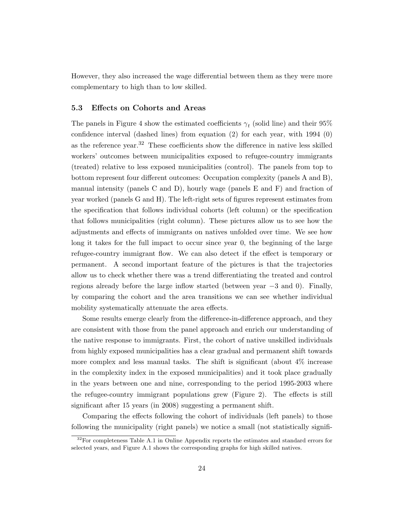However, they also increased the wage differential between them as they were more complementary to high than to low skilled.

#### 5.3 Effects on Cohorts and Areas

The panels in Figure 4 show the estimated coefficients  $\gamma_t$  (solid line) and their 95% confidence interval (dashed lines) from equation (2) for each year, with 1994 (0) as the reference year.<sup>32</sup> These coefficients show the difference in native less skilled workers' outcomes between municipalities exposed to refugee-country immigrants (treated) relative to less exposed municipalities (control). The panels from top to bottom represent four different outcomes: Occupation complexity (panels A and B), manual intensity (panels C and D), hourly wage (panels E and F) and fraction of year worked (panels G and H). The left-right sets of figures represent estimates from the specification that follows individual cohorts (left column) or the specification that follows municipalities (right column). These pictures allow us to see how the adjustments and effects of immigrants on natives unfolded over time. We see how long it takes for the full impact to occur since year 0, the beginning of the large refugee-country immigrant flow. We can also detect if the effect is temporary or permanent. A second important feature of the pictures is that the trajectories allow us to check whether there was a trend differentiating the treated and control regions already before the large inflow started (between year −3 and 0). Finally, by comparing the cohort and the area transitions we can see whether individual mobility systematically attenuate the area effects.

Some results emerge clearly from the difference-in-difference approach, and they are consistent with those from the panel approach and enrich our understanding of the native response to immigrants. First, the cohort of native unskilled individuals from highly exposed municipalities has a clear gradual and permanent shift towards more complex and less manual tasks. The shift is significant (about 4% increase in the complexity index in the exposed municipalities) and it took place gradually in the years between one and nine, corresponding to the period 1995-2003 where the refugee-country immigrant populations grew (Figure 2). The effects is still significant after 15 years (in 2008) suggesting a permanent shift.

Comparing the effects following the cohort of individuals (left panels) to those following the municipality (right panels) we notice a small (not statistically signifi-

 $32$ For completeness Table A.1 in Online Appendix reports the estimates and standard errors for selected years, and Figure A.1 shows the corresponding graphs for high skilled natives.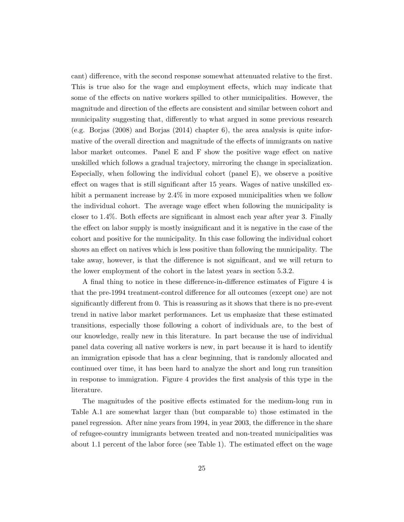cant) difference, with the second response somewhat attenuated relative to the first. This is true also for the wage and employment effects, which may indicate that some of the effects on native workers spilled to other municipalities. However, the magnitude and direction of the effects are consistent and similar between cohort and municipality suggesting that, differently to what argued in some previous research (e.g. Borjas (2008) and Borjas (2014) chapter 6), the area analysis is quite informative of the overall direction and magnitude of the effects of immigrants on native labor market outcomes. Panel E and F show the positive wage effect on native unskilled which follows a gradual trajectory, mirroring the change in specialization. Especially, when following the individual cohort (panel E), we observe a positive effect on wages that is still significant after 15 years. Wages of native unskilled exhibit a permanent increase by 2.4% in more exposed municipalities when we follow the individual cohort. The average wage effect when following the municipality is closer to 1.4%. Both effects are significant in almost each year after year 3. Finally the effect on labor supply is mostly insignificant and it is negative in the case of the cohort and positive for the municipality. In this case following the individual cohort shows an effect on natives which is less positive than following the municipality. The take away, however, is that the difference is not significant, and we will return to the lower employment of the cohort in the latest years in section 5.3.2.

A final thing to notice in these difference-in-difference estimates of Figure 4 is that the pre-1994 treatment-control difference for all outcomes (except one) are not significantly different from 0. This is reassuring as it shows that there is no pre-event trend in native labor market performances. Let us emphasize that these estimated transitions, especially those following a cohort of individuals are, to the best of our knowledge, really new in this literature. In part because the use of individual panel data covering all native workers is new, in part because it is hard to identify an immigration episode that has a clear beginning, that is randomly allocated and continued over time, it has been hard to analyze the short and long run transition in response to immigration. Figure 4 provides the first analysis of this type in the literature.

The magnitudes of the positive effects estimated for the medium-long run in Table A.1 are somewhat larger than (but comparable to) those estimated in the panel regression. After nine years from 1994, in year 2003, the difference in the share of refugee-country immigrants between treated and non-treated municipalities was about 1.1 percent of the labor force (see Table 1). The estimated effect on the wage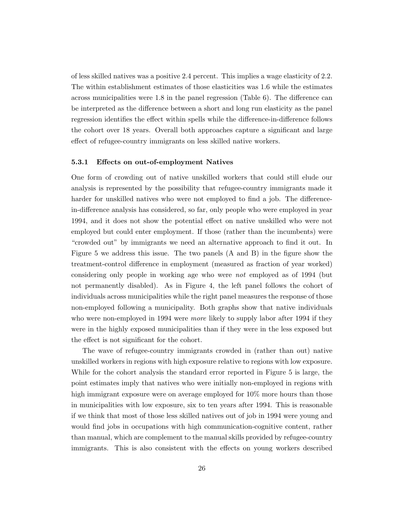of less skilled natives was a positive 2.4 percent. This implies a wage elasticity of 2.2. The within establishment estimates of those elasticities was 1.6 while the estimates across municipalities were 1.8 in the panel regression (Table 6). The difference can be interpreted as the difference between a short and long run elasticity as the panel regression identifies the effect within spells while the difference-in-difference follows the cohort over 18 years. Overall both approaches capture a significant and large effect of refugee-country immigrants on less skilled native workers.

#### 5.3.1 Effects on out-of-employment Natives

One form of crowding out of native unskilled workers that could still elude our analysis is represented by the possibility that refugee-country immigrants made it harder for unskilled natives who were not employed to find a job. The differencein-difference analysis has considered, so far, only people who were employed in year 1994, and it does not show the potential effect on native unskilled who were not employed but could enter employment. If those (rather than the incumbents) were "crowded out" by immigrants we need an alternative approach to find it out. In Figure 5 we address this issue. The two panels (A and B) in the figure show the treatment-control difference in employment (measured as fraction of year worked) considering only people in working age who were not employed as of 1994 (but not permanently disabled). As in Figure 4, the left panel follows the cohort of individuals across municipalities while the right panel measures the response of those non-employed following a municipality. Both graphs show that native individuals who were non-employed in 1994 were *more* likely to supply labor after 1994 if they were in the highly exposed municipalities than if they were in the less exposed but the effect is not significant for the cohort.

The wave of refugee-country immigrants crowded in (rather than out) native unskilled workers in regions with high exposure relative to regions with low exposure. While for the cohort analysis the standard error reported in Figure 5 is large, the point estimates imply that natives who were initially non-employed in regions with high immigrant exposure were on average employed for 10% more hours than those in municipalities with low exposure, six to ten years after 1994. This is reasonable if we think that most of those less skilled natives out of job in 1994 were young and would find jobs in occupations with high communication-cognitive content, rather than manual, which are complement to the manual skills provided by refugee-country immigrants. This is also consistent with the effects on young workers described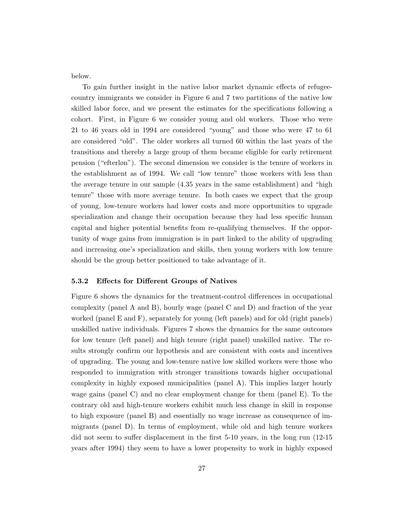below.

To gain further insight in the native labor market dynamic effects of refugeecountry immigrants we consider in Figure 6 and 7 two partitions of the native low skilled labor force, and we present the estimates for the specifications following a cohort. First, in Figure 6 we consider young and old workers. Those who were 21 to 46 years old in 1994 are considered "young" and those who were 47 to 61 are considered "old". The older workers all turned 60 within the last years of the transitions and thereby a large group of them became eligible for early retirement pension ("efterløn"). The second dimension we consider is the tenure of workers in the establishment as of 1994. We call "low tenure" those workers with less than the average tenure in our sample (4.35 years in the same establishment) and "high tenure" those with more average tenure. In both cases we expect that the group of young, low-tenure workers had lower costs and more opportunities to upgrade specialization and change their occupation because they had less specific human capital and higher potential benefits from re-qualifying themselves. If the opportunity of wage gains from immigration is in part linked to the ability of upgrading and increasing one's specialization and skills, then young workers with low tenure should be the group better positioned to take advantage of it.

#### 5.3.2 Effects for Different Groups of Natives

Figure 6 shows the dynamics for the treatment-control differences in occupational complexity (panel A and B), hourly wage (panel C and D) and fraction of the year worked (panel E and F), separately for young (left panels) and for old (right panels) unskilled native individuals. Figures 7 shows the dynamics for the same outcomes for low tenure (left panel) and high tenure (right panel) unskilled native. The results strongly confirm our hypothesis and are consistent with costs and incentives of upgrading. The young and low-tenure native low skilled workers were those who responded to immigration with stronger transitions towards higher occupational complexity in highly exposed municipalities (panel A). This implies larger hourly wage gains (panel C) and no clear employment change for them (panel E). To the contrary old and high-tenure workers exhibit much less change in skill in response to high exposure (panel B) and essentially no wage increase as consequence of immigrants (panel D). In terms of employment, while old and high tenure workers did not seem to suffer displacement in the first 5-10 years, in the long run (12-15 years after 1994) they seem to have a lower propensity to work in highly exposed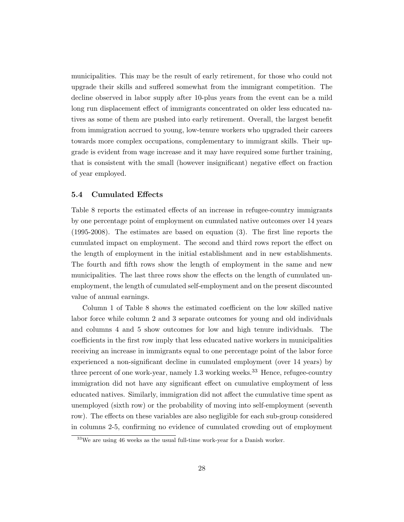municipalities. This may be the result of early retirement, for those who could not upgrade their skills and suffered somewhat from the immigrant competition. The decline observed in labor supply after 10-plus years from the event can be a mild long run displacement effect of immigrants concentrated on older less educated natives as some of them are pushed into early retirement. Overall, the largest benefit from immigration accrued to young, low-tenure workers who upgraded their careers towards more complex occupations, complementary to immigrant skills. Their upgrade is evident from wage increase and it may have required some further training, that is consistent with the small (however insignificant) negative effect on fraction of year employed.

#### 5.4 Cumulated Effects

Table 8 reports the estimated effects of an increase in refugee-country immigrants by one percentage point of employment on cumulated native outcomes over 14 years (1995-2008). The estimates are based on equation (3). The first line reports the cumulated impact on employment. The second and third rows report the effect on the length of employment in the initial establishment and in new establishments. The fourth and fifth rows show the length of employment in the same and new municipalities. The last three rows show the effects on the length of cumulated unemployment, the length of cumulated self-employment and on the present discounted value of annual earnings.

Column 1 of Table 8 shows the estimated coefficient on the low skilled native labor force while column 2 and 3 separate outcomes for young and old individuals and columns 4 and 5 show outcomes for low and high tenure individuals. The coefficients in the first row imply that less educated native workers in municipalities receiving an increase in immigrants equal to one percentage point of the labor force experienced a non-significant decline in cumulated employment (over 14 years) by three percent of one work-year, namely 1.3 working weeks.<sup>33</sup> Hence, refugee-country immigration did not have any significant effect on cumulative employment of less educated natives. Similarly, immigration did not affect the cumulative time spent as unemployed (sixth row) or the probability of moving into self-employment (seventh row). The effects on these variables are also negligible for each sub-group considered in columns 2-5, confirming no evidence of cumulated crowding out of employment

<sup>33</sup>We are using 46 weeks as the usual full-time work-year for a Danish worker.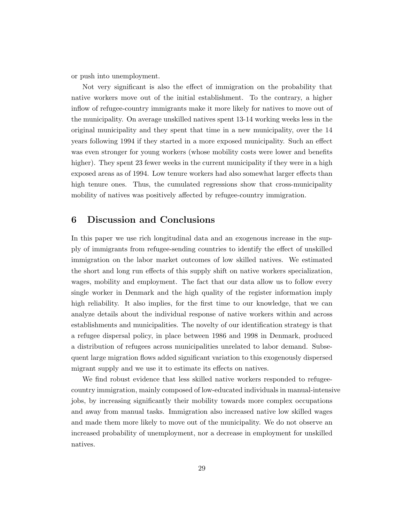or push into unemployment.

Not very significant is also the effect of immigration on the probability that native workers move out of the initial establishment. To the contrary, a higher inflow of refugee-country immigrants make it more likely for natives to move out of the municipality. On average unskilled natives spent 13-14 working weeks less in the original municipality and they spent that time in a new municipality, over the 14 years following 1994 if they started in a more exposed municipality. Such an effect was even stronger for young workers (whose mobility costs were lower and benefits higher). They spent 23 fewer weeks in the current municipality if they were in a high exposed areas as of 1994. Low tenure workers had also somewhat larger effects than high tenure ones. Thus, the cumulated regressions show that cross-municipality mobility of natives was positively affected by refugee-country immigration.

#### 6 Discussion and Conclusions

In this paper we use rich longitudinal data and an exogenous increase in the supply of immigrants from refugee-sending countries to identify the effect of unskilled immigration on the labor market outcomes of low skilled natives. We estimated the short and long run effects of this supply shift on native workers specialization, wages, mobility and employment. The fact that our data allow us to follow every single worker in Denmark and the high quality of the register information imply high reliability. It also implies, for the first time to our knowledge, that we can analyze details about the individual response of native workers within and across establishments and municipalities. The novelty of our identification strategy is that a refugee dispersal policy, in place between 1986 and 1998 in Denmark, produced a distribution of refugees across municipalities unrelated to labor demand. Subsequent large migration flows added significant variation to this exogenously dispersed migrant supply and we use it to estimate its effects on natives.

We find robust evidence that less skilled native workers responded to refugeecountry immigration, mainly composed of low-educated individuals in manual-intensive jobs, by increasing significantly their mobility towards more complex occupations and away from manual tasks. Immigration also increased native low skilled wages and made them more likely to move out of the municipality. We do not observe an increased probability of unemployment, nor a decrease in employment for unskilled natives.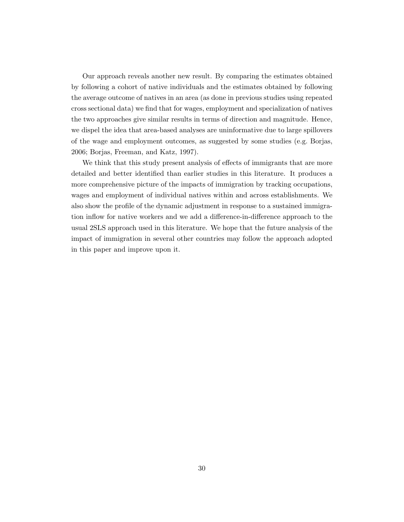Our approach reveals another new result. By comparing the estimates obtained by following a cohort of native individuals and the estimates obtained by following the average outcome of natives in an area (as done in previous studies using repeated cross sectional data) we find that for wages, employment and specialization of natives the two approaches give similar results in terms of direction and magnitude. Hence, we dispel the idea that area-based analyses are uninformative due to large spillovers of the wage and employment outcomes, as suggested by some studies (e.g. Borjas, 2006; Borjas, Freeman, and Katz, 1997).

We think that this study present analysis of effects of immigrants that are more detailed and better identified than earlier studies in this literature. It produces a more comprehensive picture of the impacts of immigration by tracking occupations, wages and employment of individual natives within and across establishments. We also show the profile of the dynamic adjustment in response to a sustained immigration inflow for native workers and we add a difference-in-difference approach to the usual 2SLS approach used in this literature. We hope that the future analysis of the impact of immigration in several other countries may follow the approach adopted in this paper and improve upon it.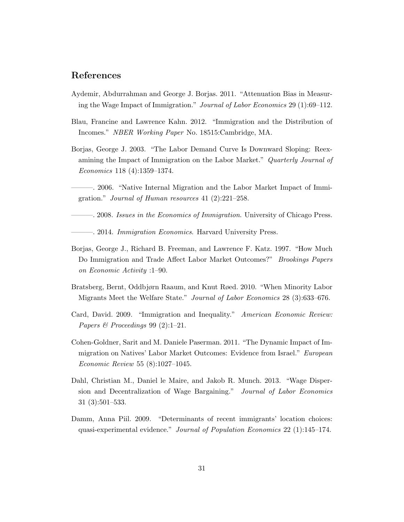### References

- Aydemir, Abdurrahman and George J. Borjas. 2011. "Attenuation Bias in Measuring the Wage Impact of Immigration." Journal of Labor Economics 29 (1):69–112.
- Blau, Francine and Lawrence Kahn. 2012. "Immigration and the Distribution of Incomes." NBER Working Paper No. 18515:Cambridge, MA.
- Borjas, George J. 2003. "The Labor Demand Curve Is Downward Sloping: Reexamining the Impact of Immigration on the Labor Market." Quarterly Journal of Economics 118 (4):1359–1374.
- ———. 2006. "Native Internal Migration and the Labor Market Impact of Immigration." Journal of Human resources 41 (2):221–258.
- ———. 2008. Issues in the Economics of Immigration. University of Chicago Press.

—. 2014. Immigration Economics. Harvard University Press.

- Borjas, George J., Richard B. Freeman, and Lawrence F. Katz. 1997. "How Much Do Immigration and Trade Affect Labor Market Outcomes?" Brookings Papers on Economic Activity :1–90.
- Bratsberg, Bernt, Oddbjørn Raaum, and Knut Røed. 2010. "When Minority Labor Migrants Meet the Welfare State." Journal of Labor Economics 28 (3):633–676.
- Card, David. 2009. "Immigration and Inequality." American Economic Review: Papers & Proceedings 99 (2):1-21.
- Cohen-Goldner, Sarit and M. Daniele Paserman. 2011. "The Dynamic Impact of Immigration on Natives' Labor Market Outcomes: Evidence from Israel." European Economic Review 55 (8):1027–1045.
- Dahl, Christian M., Daniel le Maire, and Jakob R. Munch. 2013. "Wage Dispersion and Decentralization of Wage Bargaining." Journal of Labor Economics 31 (3):501–533.
- Damm, Anna Piil. 2009. "Determinants of recent immigrants' location choices: quasi-experimental evidence." Journal of Population Economics 22 (1):145–174.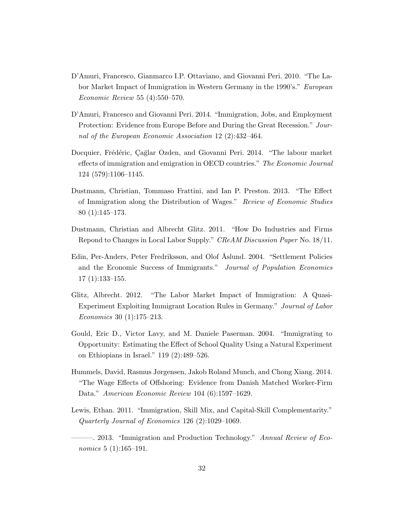- D'Amuri, Francesco, Gianmarco I.P. Ottaviano, and Giovanni Peri. 2010. "The Labor Market Impact of Immigration in Western Germany in the 1990's." European Economic Review 55 (4):550–570.
- D'Amuri, Francesco and Giovanni Peri. 2014. "Immigration, Jobs, and Employment Protection: Evidence from Europe Before and During the Great Recession." Journal of the European Economic Association 12 (2):432–464.
- Docquier, Frédéric, Cağlar Ozden, and Giovanni Peri. 2014. "The labour market effects of immigration and emigration in OECD countries." The Economic Journal 124 (579):1106–1145.
- Dustmann, Christian, Tommaso Frattini, and Ian P. Preston. 2013. "The Effect of Immigration along the Distribution of Wages." Review of Economic Studies 80 (1):145–173.
- Dustmann, Christian and Albrecht Glitz. 2011. "How Do Industries and Firms Repond to Changes in Local Labor Supply." CReAM Discussion Paper No. 18/11.
- Edin, Per-Anders, Peter Fredriksson, and Olof Åslund. 2004. "Settlement Policies and the Economic Success of Immigrants." Journal of Population Economics 17 (1):133–155.
- Glitz, Albrecht. 2012. "The Labor Market Impact of Immigration: A Quasi-Experiment Exploiting Immigrant Location Rules in Germany." Journal of Labor Economics 30 (1):175–213.
- Gould, Eric D., Victor Lavy, and M. Daniele Paserman. 2004. "Immigrating to Opportunity: Estimating the Effect of School Quality Using a Natural Experiment on Ethiopians in Israel." 119 (2):489–526.
- Hummels, David, Rasmus Jørgensen, Jakob Roland Munch, and Chong Xiang. 2014. "The Wage Effects of Offshoring: Evidence from Danish Matched Worker-Firm Data." American Economic Review 104 (6):1597–1629.
- Lewis, Ethan. 2011. "Immigration, Skill Mix, and Capital-Skill Complementarity." Quarterly Journal of Economics 126 (2):1029–1069.
- -. 2013. "Immigration and Production Technology." Annual Review of Economics 5 (1):165-191.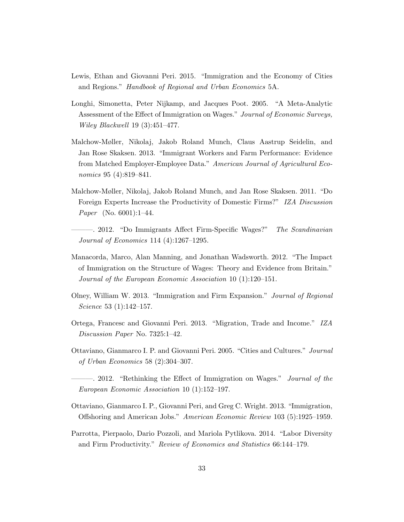- Lewis, Ethan and Giovanni Peri. 2015. "Immigration and the Economy of Cities and Regions." Handbook of Regional and Urban Economics 5A.
- Longhi, Simonetta, Peter Nijkamp, and Jacques Poot. 2005. "A Meta-Analytic Assessment of the Effect of Immigration on Wages." Journal of Economic Surveys, Wiley Blackwell 19 (3):451–477.
- Malchow-Møller, Nikolaj, Jakob Roland Munch, Claus Aastrup Seidelin, and Jan Rose Skaksen. 2013. "Immigrant Workers and Farm Performance: Evidence from Matched Employer-Employee Data." American Journal of Agricultural Economics 95 (4):819–841.
- Malchow-Møller, Nikolaj, Jakob Roland Munch, and Jan Rose Skaksen. 2011. "Do Foreign Experts Increase the Productivity of Domestic Firms?" IZA Discussion Paper (No. 6001):1–44.
- -. 2012. "Do Immigrants Affect Firm-Specific Wages?" The Scandinavian Journal of Economics 114 (4):1267–1295.
- Manacorda, Marco, Alan Manning, and Jonathan Wadsworth. 2012. "The Impact of Immigration on the Structure of Wages: Theory and Evidence from Britain." Journal of the European Economic Association 10 (1):120–151.
- Olney, William W. 2013. "Immigration and Firm Expansion." Journal of Regional Science 53 (1):142–157.
- Ortega, Francesc and Giovanni Peri. 2013. "Migration, Trade and Income." IZA Discussion Paper No. 7325:1–42.
- Ottaviano, Gianmarco I. P. and Giovanni Peri. 2005. "Cities and Cultures." Journal of Urban Economics 58 (2):304–307.
	- ——. 2012. "Rethinking the Effect of Immigration on Wages." *Journal of the* European Economic Association 10 (1):152–197.
- Ottaviano, Gianmarco I. P., Giovanni Peri, and Greg C. Wright. 2013. "Immigration, Offshoring and American Jobs." American Economic Review 103 (5):1925–1959.
- Parrotta, Pierpaolo, Dario Pozzoli, and Mariola Pytlikova. 2014. "Labor Diversity and Firm Productivity." Review of Economics and Statistics 66:144–179.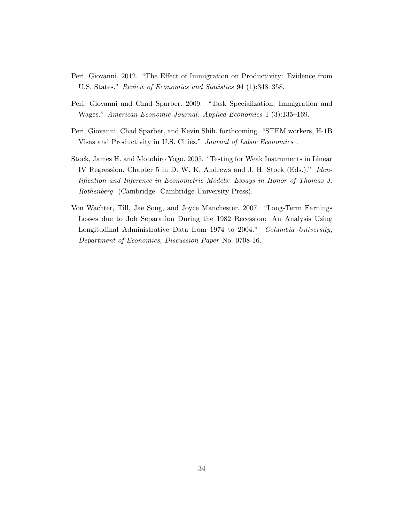- Peri, Giovanni. 2012. "The Effect of Immigration on Productivity: Evidence from U.S. States." Review of Economics and Statistics 94 (1):348–358.
- Peri, Giovanni and Chad Sparber. 2009. "Task Specialization, Immigration and Wages." American Economic Journal: Applied Economics 1 (3):135–169.
- Peri, Giovanni, Chad Sparber, and Kevin Shih. forthcoming. "STEM workers, H-1B Visas and Productivity in U.S. Cities." Journal of Labor Economics .
- Stock, James H. and Motohiro Yogo. 2005. "Testing for Weak Instruments in Linear IV Regression. Chapter 5 in D. W. K. Andrews and J. H. Stock (Eds.)." Identification and Inference in Econometric Models: Essays in Honor of Thomas J. Rothenberg (Cambridge: Cambridge University Press).
- Von Wachter, Till, Jae Song, and Joyce Manchester. 2007. "Long-Term Earnings Losses due to Job Separation During the 1982 Recession: An Analysis Using Longitudinal Administrative Data from 1974 to 2004." Columbia University, Department of Economics, Discussion Paper No. 0708-16.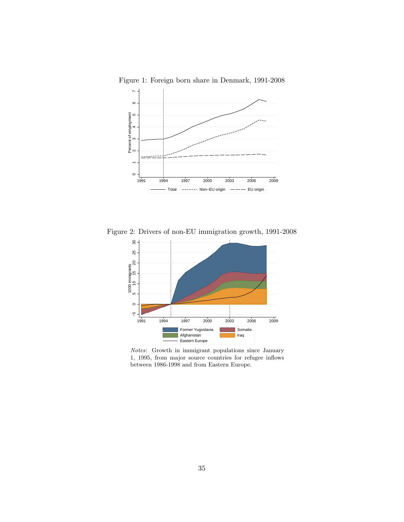

Figure 1: Foreign born share in Denmark, 1991-2008

Figure 2: Drivers of non-EU immigration growth, 1991-2008



Notes: Growth in immigrant populations since January 1, 1995, from major source countries for refugee inflows between 1986-1998 and from Eastern Europe.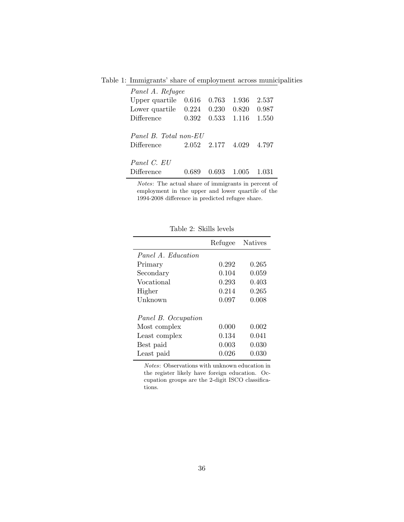Table 1: Immigrants' share of employment across municipalities

| Panel A. Refugee                    |       |                   |       |       |  |  |  |  |
|-------------------------------------|-------|-------------------|-------|-------|--|--|--|--|
| Upper quartile                      | 0.616 | 0.763             | 1.936 | 2.537 |  |  |  |  |
| Lower quartile $0.224$              |       | 0.230             | 0.820 | 0.987 |  |  |  |  |
| Difference                          | 0.392 | 0.533             | 1.116 | 1.550 |  |  |  |  |
| Panel B. Total non-EU<br>Difference |       | 2.052 2.177 4.029 |       | 4.797 |  |  |  |  |
| Panel C. EU                         |       |                   |       |       |  |  |  |  |
| Difference                          |       | 0.693             | 1.005 | 1 031 |  |  |  |  |

Notes: The actual share of immigrants in percent of employment in the upper and lower quartile of the 1994-2008 difference in predicted refugee share.

|                     | Refugee | <b>Natives</b> |
|---------------------|---------|----------------|
| Panel A. Education  |         |                |
| Primary             | 0.292   | 0.265          |
| Secondary           | 0.104   | 0.059          |
| Vocational          | 0.293   | 0.403          |
| Higher              | 0.214   | 0.265          |
| Unknown             | 0.097   | 0.008          |
|                     |         |                |
| Panel B. Occupation |         |                |
| Most complex        | 0.000   | 0.002          |
| Least complex       | 0.134   | 0.041          |
| Best paid           | 0.003   | 0.030          |
| Least paid          | 0.026   | 0.030          |

Table 2: Skills levels

Notes: Observations with unknown education in the register likely have foreign education. Occupation groups are the 2-digit ISCO classifications.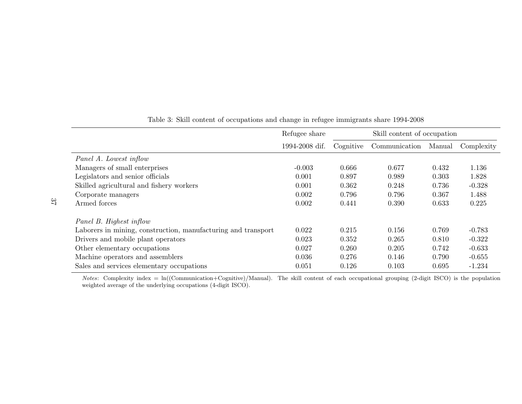|                                                               | Refugee share  | Skill content of occupation |               |        |            |  |
|---------------------------------------------------------------|----------------|-----------------------------|---------------|--------|------------|--|
|                                                               | 1994-2008 dif. | Cognitive                   | Communication | Manual | Complexity |  |
| Panel A. Lowest inflow                                        |                |                             |               |        |            |  |
| Managers of small enterprises                                 | $-0.003$       | 0.666                       | 0.677         | 0.432  | 1.136      |  |
| Legislators and senior officials                              | 0.001          | 0.897                       | 0.989         | 0.303  | 1.828      |  |
| Skilled agricultural and fishery workers                      | 0.001          | 0.362                       | 0.248         | 0.736  | $-0.328$   |  |
| Corporate managers                                            | 0.002          | 0.796                       | 0.796         | 0.367  | 1.488      |  |
| Armed forces                                                  | 0.002          | 0.441                       | 0.390         | 0.633  | 0.225      |  |
| Panel B. Highest inflow                                       |                |                             |               |        |            |  |
| Laborers in mining, construction, manufacturing and transport | 0.022          | 0.215                       | 0.156         | 0.769  | $-0.783$   |  |
| Drivers and mobile plant operators                            | 0.023          | 0.352                       | 0.265         | 0.810  | $-0.322$   |  |
| Other elementary occupations                                  | 0.027          | 0.260                       | 0.205         | 0.742  | $-0.633$   |  |
| Machine operators and assemblers                              | 0.036          | 0.276                       | 0.146         | 0.790  | $-0.655$   |  |
| Sales and services elementary occupations                     | 0.051          | 0.126                       | 0.103         | 0.695  | $-1.234$   |  |

37

Table 3: Skill content of occupations and change in refugee immigrants share 1994-2008

Notes: Complexity index =  $ln((Commonization + Cognitive)/Manual)$ . The skill content of each occupational grouping (2-digit ISCO) is the population weighted average of the underlying occupations (4-digit ISCO).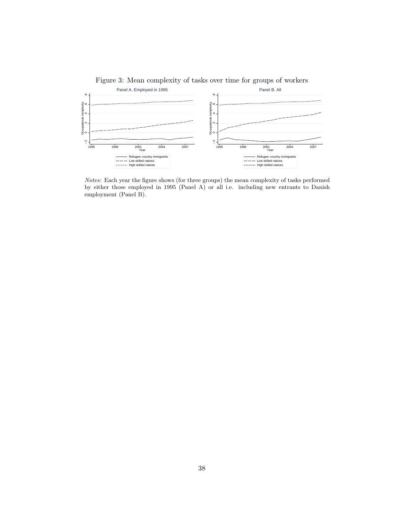

Figure 3: Mean complexity of tasks over time for groups of workers

Notes: Each year the figure shows (for three groups) the mean complexity of tasks performed by either those employed in 1995 (Panel A) or all i.e. including new entrants to Danish employment (Panel B).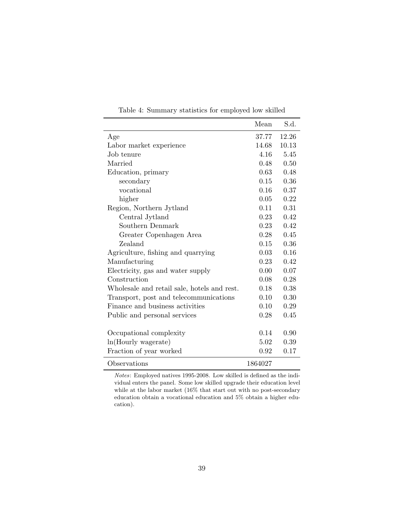|                                             | Mean       | S.d.  |
|---------------------------------------------|------------|-------|
| Age                                         | 37.77      | 12.26 |
| Labor market experience                     | 14.68      | 10.13 |
| Job tenure                                  | 4.16       | 5.45  |
| Married                                     | 0.48       | 0.50  |
| Education, primary                          | 0.63       | 0.48  |
| secondary                                   | 0.15       | 0.36  |
| vocational                                  | 0.16       | 0.37  |
| higher                                      | 0.05       | 0.22  |
| Region, Northern Jytland                    | 0.11       | 0.31  |
| Central Jytland                             | 0.23       | 0.42  |
| Southern Denmark                            | 0.23       | 0.42  |
| Greater Copenhagen Area                     | 0.28       | 0.45  |
| Zealand                                     | 0.15       | 0.36  |
| Agriculture, fishing and quarrying          | 0.03       | 0.16  |
| Manufacturing                               | 0.23       | 0.42  |
| Electricity, gas and water supply           | $0.00\,$   | 0.07  |
| Construction                                | 0.08       | 0.28  |
| Wholesale and retail sale, hotels and rest. | 0.18       | 0.38  |
| Transport, post and telecommunications      | $0.10^{-}$ | 0.30  |
| Finance and business activities             | 0.10       | 0.29  |
| Public and personal services                | 0.28       | 0.45  |
|                                             |            |       |
| Occupational complexity                     | 0.14       | 0.90  |
| ln(Hourly wagerate)                         | 5.02       | 0.39  |
| Fraction of year worked                     | 0.92       | 0.17  |
| Observations                                | 1864027    |       |

Table 4: Summary statistics for employed low skilled

Notes: Employed natives 1995-2008. Low skilled is defined as the individual enters the panel. Some low skilled upgrade their education level while at the labor market (16% that start out with no post-secondary education obtain a vocational education and 5% obtain a higher education).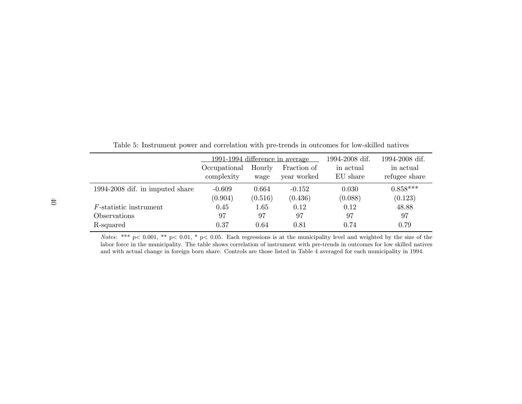|                                 | 1991-1994 difference in average |                |                            | 1994-2008 dif.        | 1994-2008 dif.             |
|---------------------------------|---------------------------------|----------------|----------------------------|-----------------------|----------------------------|
|                                 | Occupational<br>complexity      | Hourly<br>wage | Fraction of<br>year worked | in actual<br>EU share | in actual<br>refugee share |
| 1994-2008 dif. in imputed share | $-0.609$                        | 0.664          | $-0.152$                   | 0.030                 | $0.858***$                 |
|                                 | (0.904)                         | (0.516)        | (0.436)                    | (0.088)               | (0.123)                    |
| $F$ -statistic instrument       | 0.45                            | 1.65           | 0.12                       | 0.12                  | 48.88                      |
| Observations                    | 97                              | 97             | 97                         | 97                    | 97                         |
| R-squared                       | 0.37                            | 0.64           | 0.81                       | 0.74                  | 0.79                       |

Table 5: Instrument power and correlation with pre-trends in outcomes for low-skilled natives

Notes: \*\*\*  $p < 0.001$ , \*\*  $p < 0.01$ , \*  $p < 0.05$ . Each regressions is at the municipality level and weighted by the size of the labor force in the municipality. The table shows correlation of instrument with pre-trends in outcomes for low skilled nativesand with actual change in foreign born share. Controls are those listed in Table 4 averaged for each municipality in 1994.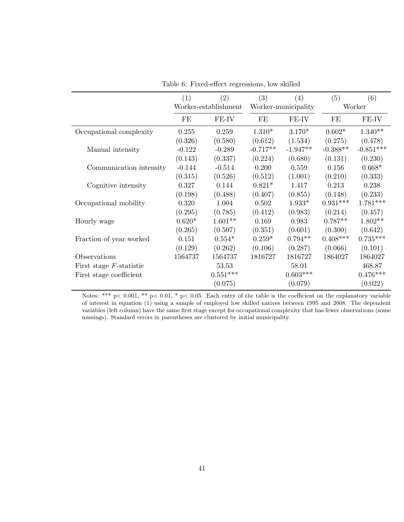|                            | (1)                  | (2)        | (3)                 | (4)        | (5)        | (6)         |
|----------------------------|----------------------|------------|---------------------|------------|------------|-------------|
|                            | Worker-establishment |            | Worker-municipality |            | Worker     |             |
|                            | FE                   | FE-IV      | FE                  | FE-IV      | FE         | FE-IV       |
| Occupational complexity    | 0.255                | 0.259      | $1.310*$            | $3.170*$   | $0.602*$   | $1.340**$   |
|                            | (0.326)              | (0.580)    | (0.612)             | (1.534)    | (0.275)    | (0.478)     |
| Manual intensity           | $-0.122$             | $-0.289$   | $-0.717**$          | $-1.947**$ | $-0.388**$ | $-0.851***$ |
|                            | (0.143)              | (0.337)    | (0.224)             | (0.680)    | (0.131)    | (0.230)     |
| Communication intensity    | $-0.144$             | $-0.514$   | 0.200               | 0.559      | 0.156      | $0.668*$    |
|                            | (0.315)              | (0.526)    | (0.512)             | (1.001)    | (0.210)    | (0.333)     |
| Cognitive intensity        | 0.327                | 0.144      | $0.821*$            | 1.417      | 0.213      | 0.238       |
|                            | (0.198)              | (0.488)    | (0.407)             | (0.855)    | (0.148)    | (0.233)     |
| Occupational mobility      | 0.320                | 1.004      | 0.502               | $1.933*$   | $0.931***$ | $1.781***$  |
|                            | (0.295)              | (0.785)    | (0.412)             | (0.983)    | (0.214)    | (0.457)     |
| Hourly wage                | $0.620*$             | $1.601**$  | 0.169               | 0.983      | $0.787**$  | $1.802**$   |
|                            | (0.265)              | (0.507)    | (0.351)             | (0.601)    | (0.300)    | (0.642)     |
| Fraction of year worked    | 0.151                | $0.554*$   | $0.259*$            | $0.794**$  | $0.408***$ | $0.735***$  |
|                            | (0.129)              | (0.262)    | (0.106)             | (0.287)    | (0.066)    | (0.101)     |
| Observations               | 1564737              | 1564737    | 1816727             | 1816727    | 1864027    | 1864027     |
| First stage $F$ -statistic |                      | 53.53      |                     | 58.01      |            | 468.87      |
| First stage coefficient    |                      | $0.551***$ |                     | $0.603***$ |            | $0.476***$  |
|                            |                      | (0.075)    |                     | (0.079)    |            | (0.022)     |

Table 6: Fixed-effect regressions, low skilled

Notes: \*\*\* p< 0.001, \*\* p< 0.01, \* p< 0.05. Each entry of the table is the coefficient on the explanatory variable of interest in equation (1) using a sample of employed low skilled natives between 1995 and 2008. The dependent variables (left column) have the same first stage except for occupational complexity that has fewer observations (some missings). Standard errors in parentheses are clustered by initial municipality.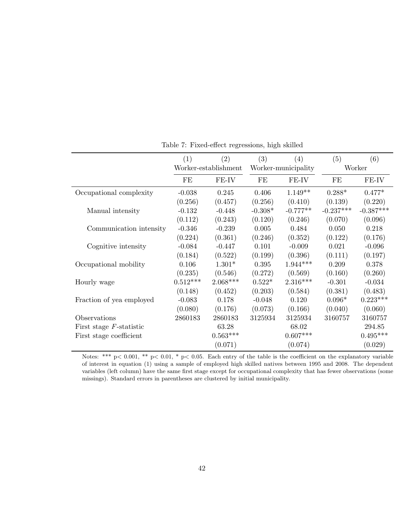|                            | (1)                  | $\left( 2\right)$ | (3)                 | (4)        | (5)         | (6)         |
|----------------------------|----------------------|-------------------|---------------------|------------|-------------|-------------|
|                            | Worker-establishment |                   | Worker-municipality |            | Worker      |             |
|                            | FE                   | FE-IV             | FE                  | FE-IV      | FE          | FE-IV       |
| Occupational complexity    | $-0.038$             | 0.245             | 0.406               | $1.149**$  | $0.288*$    | $0.477*$    |
|                            | (0.256)              | (0.457)           | (0.256)             | (0.410)    | (0.139)     | (0.220)     |
| Manual intensity           | $-0.132$             | $-0.448$          | $-0.308*$           | $-0.777**$ | $-0.237***$ | $-0.387***$ |
|                            | (0.112)              | (0.243)           | (0.120)             | (0.246)    | (0.070)     | (0.096)     |
| Communication intensity    | $-0.346$             | $-0.239$          | 0.005               | 0.484      | 0.050       | 0.218       |
|                            | (0.224)              | (0.361)           | (0.246)             | (0.352)    | (0.122)     | (0.176)     |
| Cognitive intensity        | $-0.084$             | $-0.447$          | 0.101               | $-0.009$   | 0.021       | $-0.096$    |
|                            | (0.184)              | (0.522)           | (0.199)             | (0.396)    | (0.111)     | (0.197)     |
| Occupational mobility      | 0.106                | $1.301*$          | 0.395               | $1.944***$ | 0.209       | 0.378       |
|                            | (0.235)              | (0.546)           | (0.272)             | (0.569)    | (0.160)     | (0.260)     |
| Hourly wage                | $0.512***$           | $2.068***$        | $0.522*$            | $2.316***$ | $-0.301$    | $-0.034$    |
|                            | (0.148)              | (0.452)           | (0.203)             | (0.584)    | (0.381)     | (0.483)     |
| Fraction of yea employed   | $-0.083$             | 0.178             | $-0.048$            | 0.120      | $0.096*$    | $0.223***$  |
|                            | (0.080)              | (0.176)           | (0.073)             | (0.166)    | (0.040)     | (0.060)     |
| Observations               | 2860183              | 2860183           | 3125934             | 3125934    | 3160757     | 3160757     |
| First stage $F$ -statistic |                      | 63.28             |                     | 68.02      |             | 294.85      |
| First stage coefficient    |                      | $0.563***$        |                     | $0.607***$ |             | $0.495***$  |
|                            |                      | (0.071)           |                     | (0.074)    |             | (0.029)     |

Table 7: Fixed-effect regressions, high skilled

Notes: \*\*\*  $p < 0.001$ , \*\*  $p < 0.01$ , \*  $p < 0.05$ . Each entry of the table is the coefficient on the explanatory variable of interest in equation (1) using a sample of employed high skilled natives between 1995 and 2008. The dependent variables (left column) have the same first stage except for occupational complexity that has fewer observations (some missings). Standard errors in parentheses are clustered by initial municipality.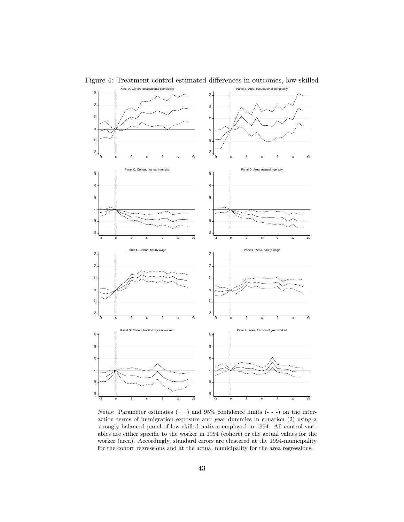

Figure 4: Treatment-control estimated differences in outcomes, low skilled

*Notes*: Parameter estimates  $(\_\_\)$  and 95% confidence limits  $(\_\$  -) on the interaction terms of immigration exposure and year dummies in equation (2) using a strongly balanced panel of low skilled natives employed in 1994. All control variables are either specific to the worker in 1994 (cohort) or the actual values for the worker (area). Accordingly, standard errors are clustered at the 1994-municipality for the cohort regressions and at the actual municipality for the area regressions.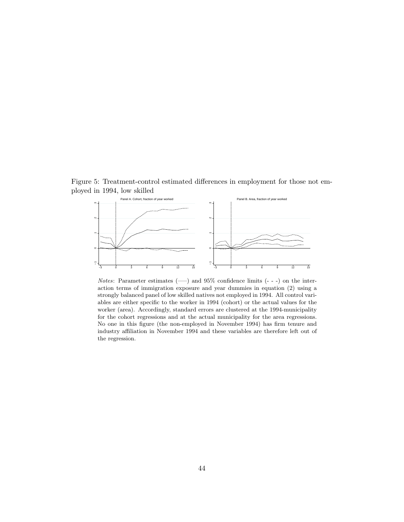Figure 5: Treatment-control estimated differences in employment for those not employed in 1994, low skilled



Notes: Parameter estimates (—–) and 95% confidence limits (- - -) on the interaction terms of immigration exposure and year dummies in equation (2) using a strongly balanced panel of low skilled natives not employed in 1994. All control variables are either specific to the worker in 1994 (cohort) or the actual values for the worker (area). Accordingly, standard errors are clustered at the 1994-municipality for the cohort regressions and at the actual municipality for the area regressions. No one in this figure (the non-employed in November 1994) has firm tenure and industry affiliation in November 1994 and these variables are therefore left out of the regression.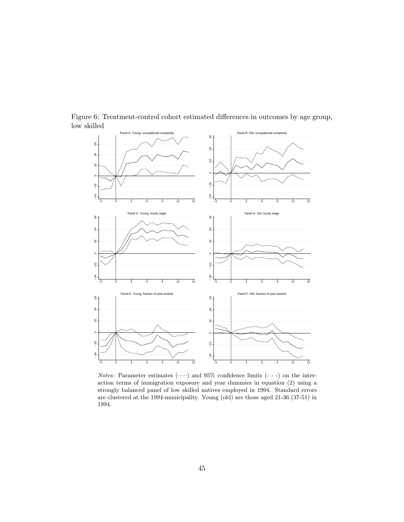

Figure 6: Treatment-control cohort estimated differences in outcomes by age group, low skilled

Notes: Parameter estimates  $(-)$  and 95% confidence limits  $(-)$  on the interaction terms of immigration exposure and year dummies in equation (2) using a strongly balanced panel of low skilled natives employed in 1994. Standard errors are clustered at the 1994-municipality. Young (old) are those aged 21-36 (37-51) in 1994.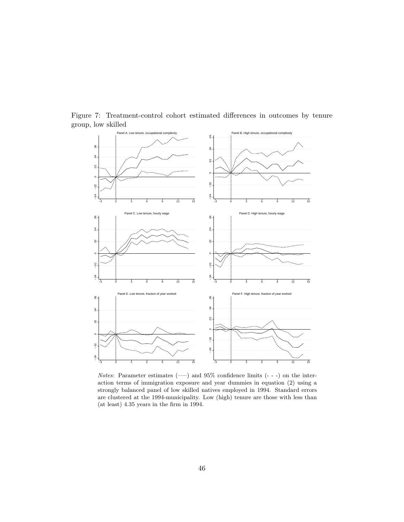

Figure 7: Treatment-control cohort estimated differences in outcomes by tenure group, low skilled

*Notes*: Parameter estimates  $(-)$  and 95% confidence limits  $(- -)$  on the interaction terms of immigration exposure and year dummies in equation (2) using a strongly balanced panel of low skilled natives employed in 1994. Standard errors are clustered at the 1994-municipality. Low (high) tenure are those with less than (at least) 4.35 years in the firm in 1994.